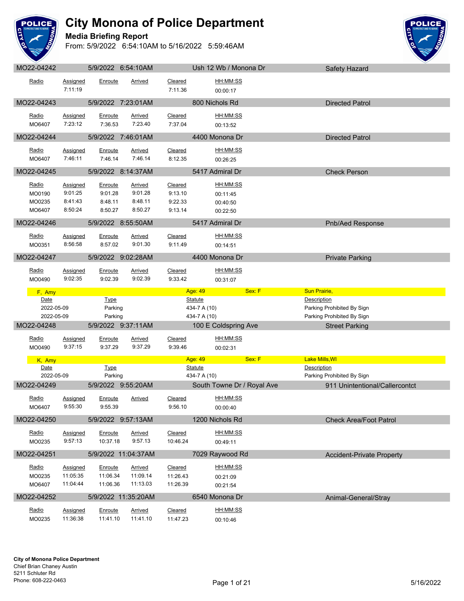

#### **Media Briefing Report**



| MO22-04242      |                      |                     | 5/9/2022 6:54:10AM         |                     | Ush 12 Wb / Monona Dr      | Safety Hazard                    |  |
|-----------------|----------------------|---------------------|----------------------------|---------------------|----------------------------|----------------------------------|--|
| Radio           | Assigned             | Enroute             | Arrived                    | Cleared             | HH:MM:SS                   |                                  |  |
|                 | 7:11:19              |                     |                            | 7:11.36             | 00:00:17                   |                                  |  |
|                 |                      |                     |                            |                     |                            |                                  |  |
| MO22-04243      |                      |                     | 5/9/2022 7:23:01AM         |                     | 800 Nichols Rd             | <b>Directed Patrol</b>           |  |
| Radio           | <b>Assigned</b>      | <b>Enroute</b>      | <b>Arrived</b>             | Cleared             | HH:MM:SS                   |                                  |  |
| MO6407          | 7:23:12              | 7:36.53             | 7:23.40                    | 7:37.04             | 00:13:52                   |                                  |  |
| MO22-04244      |                      |                     | 5/9/2022 7:46:01AM         |                     | 4400 Monona Dr             | <b>Directed Patrol</b>           |  |
|                 |                      |                     |                            |                     |                            |                                  |  |
| Radio           | Assigned             | Enroute             | <b>Arrived</b>             | Cleared             | HH:MM:SS                   |                                  |  |
| MO6407          | 7:46:11              | 7:46.14             | 7:46.14                    | 8:12.35             | 00:26:25                   |                                  |  |
| MO22-04245      |                      |                     | 5/9/2022 8:14:37AM         |                     | 5417 Admiral Dr            | <b>Check Person</b>              |  |
| Radio           | Assigned             | Enroute             | <b>Arrived</b>             | Cleared             | <u>HH:MM:SS</u>            |                                  |  |
| MO0190          | 9:01:25              | 9:01.28             | 9:01.28                    | 9:13.10             | 00:11:45                   |                                  |  |
| MO0235          | 8:41:43              | 8:48.11             | 8:48.11                    | 9:22.33             | 00:40:50                   |                                  |  |
| MO6407          | 8:50:24              | 8:50.27             | 8:50.27                    | 9:13.14             | 00:22:50                   |                                  |  |
| MO22-04246      |                      |                     | 5/9/2022 8:55:50AM         |                     | 5417 Admiral Dr            | Pnb/Aed Response                 |  |
|                 |                      |                     |                            |                     |                            |                                  |  |
| Radio           | Assigned             | Enroute             | Arrived                    | Cleared             | HH:MM:SS                   |                                  |  |
| MO0351          | 8:56:58              | 8:57.02             | 9:01.30                    | 9:11.49             | 00:14:51                   |                                  |  |
| MO22-04247      |                      |                     | 5/9/2022 9:02:28AM         |                     | 4400 Monona Dr             | <b>Private Parking</b>           |  |
| Radio           | <b>Assigned</b>      | <b>Enroute</b>      | <b>Arrived</b>             | Cleared             | HH:MM:SS                   |                                  |  |
| MO0490          | 9:02:35              | 9:02.39             | 9:02.39                    | 9:33.42             | 00:31:07                   |                                  |  |
|                 |                      |                     |                            |                     |                            |                                  |  |
| F, Amy          |                      |                     |                            |                     | Age: 49<br>Sex: F          | <b>Sun Prairie,</b>              |  |
|                 |                      |                     |                            |                     |                            |                                  |  |
| Date            |                      | <b>Type</b>         |                            | Statute             |                            | Description                      |  |
| 2022-05-09      |                      | Parking             |                            |                     | 434-7 A (10)               | Parking Prohibited By Sign       |  |
| 2022-05-09      |                      | Parking             |                            |                     | 434-7 A (10)               | Parking Prohibited By Sign       |  |
| MO22-04248      |                      |                     | 5/9/2022 9:37:11AM         |                     | 100 E Coldspring Ave       | <b>Street Parking</b>            |  |
| Radio           | Assigned             | Enroute             | <b>Arrived</b>             | Cleared             | HH:MM:SS                   |                                  |  |
| MO0490          | 9:37:15              | 9:37.29             | 9:37.29                    | 9:39.46             | 00:02:31                   |                                  |  |
| K, Amy          |                      |                     |                            |                     | Sex: F<br>Age: 49          | Lake Mills, WI                   |  |
| Date            |                      | <b>Type</b>         |                            |                     | <b>Statute</b>             | Description                      |  |
| 2022-05-09      |                      | Parking             |                            |                     | 434-7 A (10)               | Parking Prohibited By Sign       |  |
| MO22-04249      |                      |                     | 5/9/2022 9:55:20AM         |                     | South Towne Dr / Royal Ave | 911 Unintentional/Callercontct   |  |
| Radio           | <b>Assigned</b>      | <b>Enroute</b>      | <b>Arrived</b>             | Cleared             | HH:MM:SS                   |                                  |  |
| MO6407          | 9:55:30              | 9:55.39             |                            | 9:56.10             | 00:00:40                   |                                  |  |
| MO22-04250      |                      |                     | 5/9/2022 9:57:13AM         |                     | 1200 Nichols Rd            | <b>Check Area/Foot Patrol</b>    |  |
|                 |                      |                     |                            |                     |                            |                                  |  |
| Radio           | Assigned             | Enroute             | <b>Arrived</b>             | Cleared             | HH:MM:SS                   |                                  |  |
| MO0235          | 9:57:13              | 10:37.18            | 9:57.13                    | 10:46.24            | 00:49:11                   |                                  |  |
| MO22-04251      |                      |                     | 5/9/2022 11:04:37AM        |                     | 7029 Raywood Rd            | <b>Accident-Private Property</b> |  |
| Radio           | Assigned             | Enroute             | <b>Arrived</b>             | Cleared             | <u>HH:MM:SS</u>            |                                  |  |
| MO0235          | 11:05:35             | 11:06.34            | 11:09.14                   | 11:26.43            | 00:21:09                   |                                  |  |
| MO6407          | 11:04:44             | 11:06.36            | 11:13.03                   | 11:26.39            | 00:21:54                   |                                  |  |
| MO22-04252      |                      |                     | 5/9/2022 11:35:20AM        |                     | 6540 Monona Dr             |                                  |  |
|                 |                      |                     |                            |                     |                            | Animal-General/Stray             |  |
| Radio<br>MO0235 | Assigned<br>11:36:38 | Enroute<br>11:41.10 | <b>Arrived</b><br>11:41.10 | Cleared<br>11:47.23 | HH:MM:SS<br>00:10:46       |                                  |  |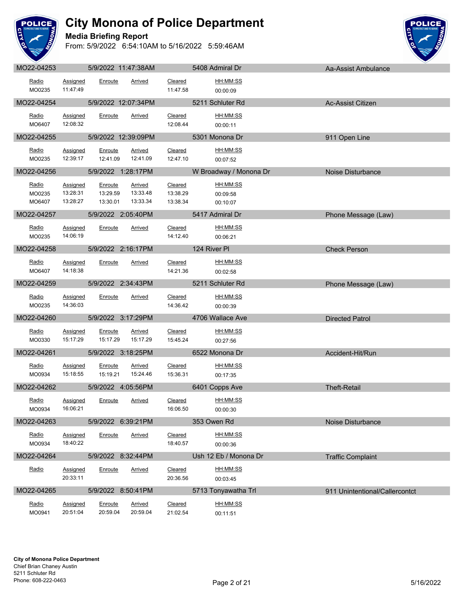

#### **Media Briefing Report**



| Radio<br>MO0235           | Assigned<br>11:47:49             | Enroute                         | Arrived                         | Cleared<br>11:47.58             | HH:MM:SS<br>00:00:09             |                                |
|---------------------------|----------------------------------|---------------------------------|---------------------------------|---------------------------------|----------------------------------|--------------------------------|
| MO22-04254                |                                  |                                 | 5/9/2022 12:07:34PM             |                                 | 5211 Schluter Rd                 | <b>Ac-Assist Citizen</b>       |
| Radio<br>MO6407           | <b>Assigned</b><br>12:08:32      | Enroute                         | <b>Arrived</b>                  | Cleared<br>12:08.44             | HH:MM:SS<br>00:00:11             |                                |
| MO22-04255                |                                  |                                 | 5/9/2022 12:39:09PM             |                                 | 5301 Monona Dr                   | 911 Open Line                  |
| Radio<br>MO0235           | Assigned<br>12:39:17             | Enroute<br>12:41.09             | <b>Arrived</b><br>12:41.09      | Cleared<br>12:47.10             | <u>HH:MM:SS</u><br>00:07:52      |                                |
| MO22-04256                |                                  |                                 | 5/9/2022 1:28:17PM              |                                 | W Broadway / Monona Dr           | Noise Disturbance              |
| Radio<br>MO0235<br>MO6407 | Assigned<br>13:28:31<br>13:28:27 | Enroute<br>13:29.59<br>13:30.01 | Arrived<br>13:33.48<br>13:33.34 | Cleared<br>13:38.29<br>13:38.34 | HH:MM:SS<br>00:09:58<br>00:10:07 |                                |
| MO22-04257                |                                  |                                 | 5/9/2022 2:05:40PM              |                                 | 5417 Admiral Dr                  | Phone Message (Law)            |
| Radio<br>MO0235           | Assigned<br>14:06:19             | Enroute                         | <b>Arrived</b>                  | Cleared<br>14:12.40             | HH:MM:SS<br>00:06:21             |                                |
| MO22-04258                |                                  |                                 | 5/9/2022 2:16:17PM              |                                 | <b>124 River PI</b>              | <b>Check Person</b>            |
| <u>Radio</u><br>MO6407    | Assigned<br>14:18:38             | Enroute                         | Arrived                         | Cleared<br>14:21.36             | <u>HH:MM:SS</u><br>00:02:58      |                                |
| MO22-04259                |                                  |                                 | 5/9/2022 2:34:43PM              |                                 | 5211 Schluter Rd                 | Phone Message (Law)            |
| Radio<br>MO0235           | <b>Assigned</b><br>14:36:03      | Enroute                         | Arrived                         | Cleared<br>14:36.42             | HH:MM:SS<br>00:00:39             |                                |
| MO22-04260                |                                  |                                 | 5/9/2022 3:17:29PM              |                                 | 4706 Wallace Ave                 | <b>Directed Patrol</b>         |
| Radio<br>MO0330           | Assigned<br>15:17:29             | Enroute<br>15:17.29             | Arrived<br>15:17.29             | Cleared<br>15:45.24             | <u>HH:MM:SS</u><br>00:27:56      |                                |
| MO22-04261                |                                  |                                 | 5/9/2022 3:18:25PM              |                                 | 6522 Monona Dr                   | Accident-Hit/Run               |
| Radio<br>MO0934           | Assigned<br>15:18:55             | Enroute<br>15:19.21             | Arrived<br>15:24.46             | Cleared<br>15:36.31             | HH:MM:SS<br>00:17:35             |                                |
| MO22-04262                |                                  |                                 | 5/9/2022 4:05:56PM              |                                 | 6401 Copps Ave                   | <b>Theft-Retail</b>            |
| Radio<br>MO0934           | Assigned<br>16:06:21             | Enroute                         | <b>Arrived</b>                  | Cleared<br>16:06.50             | HH:MM:SS<br>00:00:30             |                                |
| MO22-04263                |                                  |                                 | 5/9/2022 6:39:21PM              |                                 | 353 Owen Rd                      | Noise Disturbance              |
| Radio<br>MO0934           | Assigned<br>18:40:22             | Enroute                         | Arrived                         | Cleared<br>18:40.57             | HH:MM:SS<br>00:00:36             |                                |
| MO22-04264                |                                  | 5/9/2022 8:32:44PM              |                                 |                                 | Ush 12 Eb / Monona Dr            | <b>Traffic Complaint</b>       |
| Radio                     | Assigned<br>20:33:11             | Enroute                         | <b>Arrived</b>                  | Cleared<br>20:36.56             | HH:MM:SS<br>00:03:45             |                                |
| MO22-04265                |                                  |                                 | 5/9/2022 8:50:41PM              |                                 | 5713 Tonyawatha Trl              | 911 Unintentional/Callercontct |
| Radio<br>MO0941           | Assigned<br>20:51:04             | Enroute<br>20:59.04             | <b>Arrived</b><br>20:59.04      | Cleared<br>21:02.54             | HH:MM:SS<br>00:11:51             |                                |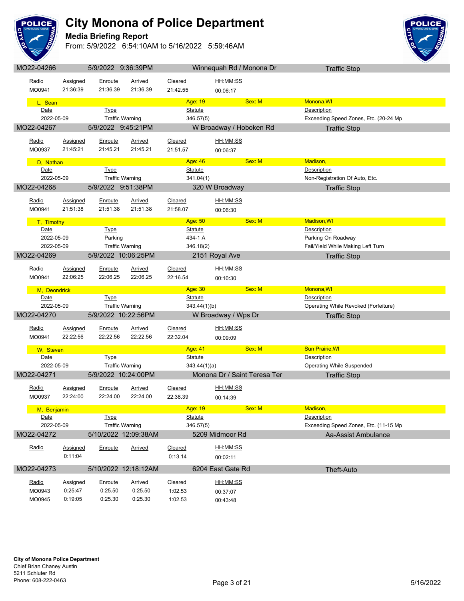

**Media Briefing Report**



| MO22-04266          |                                      | 5/9/2022 9:36:39PM |                                               |                           | Winnequah Rd / Monona Dr     | <b>Traffic Stop</b>                                     |  |
|---------------------|--------------------------------------|--------------------|-----------------------------------------------|---------------------------|------------------------------|---------------------------------------------------------|--|
| Radio               | Assigned                             | Enroute            | Arrived                                       | Cleared                   | HH:MM:SS                     |                                                         |  |
| MO0941              | 21:36:39                             | 21:36.39           | 21:36.39                                      | 21:42.55                  | 00:06:17                     |                                                         |  |
|                     |                                      |                    |                                               |                           |                              |                                                         |  |
| L, Sean             |                                      |                    |                                               | Age: 19                   | Sex: M                       | Monona, WI                                              |  |
| Date                |                                      | <b>Type</b>        |                                               | <b>Statute</b>            |                              | <b>Description</b>                                      |  |
| 2022-05-09          |                                      |                    | <b>Traffic Warning</b>                        | 346.57(5)                 |                              | Exceeding Speed Zones, Etc. (20-24 Mp                   |  |
| MO22-04267          |                                      | 5/9/2022 9:45:21PM |                                               |                           | W Broadway / Hoboken Rd      | <b>Traffic Stop</b>                                     |  |
| Radio               | Assigned                             | Enroute            | Arrived                                       | Cleared                   | HH:MM:SS                     |                                                         |  |
| MO0937              | 21:45:21                             | 21:45.21           | 21:45.21                                      | 21:51.57                  | 00:06:37                     |                                                         |  |
|                     |                                      |                    |                                               |                           |                              |                                                         |  |
| D, Nathan           |                                      |                    |                                               | Age: 46                   | Sex: M                       | Madison,                                                |  |
|                     | Date<br><b>Type</b>                  |                    |                                               | <b>Statute</b>            |                              | Description                                             |  |
|                     | 2022-05-09<br><b>Traffic Warning</b> |                    |                                               | 341.04(1)                 |                              | Non-Registration Of Auto, Etc.                          |  |
| MO22-04268          |                                      | 5/9/2022 9:51:38PM |                                               |                           | 320 W Broadway               | <b>Traffic Stop</b>                                     |  |
| Radio               | Assigned                             | Enroute            | <b>Arrived</b>                                | Cleared                   | HH:MM:SS                     |                                                         |  |
| MO0941              | 21:51:38                             | 21:51.38           | 21:51.38                                      | 21:58.07                  | 00:06:30                     |                                                         |  |
|                     |                                      |                    |                                               |                           |                              |                                                         |  |
| T, Timothy          |                                      |                    |                                               | Age: 50                   | Sex: M                       | <b>Madison, WI</b>                                      |  |
| Date<br>2022-05-09  |                                      | <b>Type</b>        |                                               | <b>Statute</b>            |                              | Description                                             |  |
| 2022-05-09          |                                      | Parking            |                                               | 434-1 A                   |                              | Parking On Roadway<br>Fail/Yield While Making Left Turn |  |
|                     |                                      |                    | <b>Traffic Warning</b><br>5/9/2022 10:06:25PM | 346.18(2)                 |                              |                                                         |  |
| MO22-04269          |                                      |                    |                                               |                           | 2151 Royal Ave               | <b>Traffic Stop</b>                                     |  |
| Radio               | Assigned                             | Enroute            | <b>Arrived</b>                                | Cleared                   | HH:MM:SS                     |                                                         |  |
| MO0941              | 22:06:25                             | 22:06.25           | 22:06.25                                      | 22:16.54                  | 00:10:30                     |                                                         |  |
|                     |                                      |                    |                                               |                           |                              |                                                         |  |
|                     |                                      |                    |                                               |                           |                              |                                                         |  |
| M, Deondrick        |                                      |                    |                                               | Age: 30                   | Sex: M                       | Monona, WI                                              |  |
| Date                |                                      | <b>Type</b>        |                                               | <b>Statute</b>            |                              | Description                                             |  |
| 2022-05-09          |                                      |                    | <b>Traffic Warning</b>                        | 343.44(1)(b)              |                              | Operating While Revoked (Forfeiture)                    |  |
| MO22-04270          |                                      |                    | 5/9/2022 10:22:56PM                           |                           | W Broadway / Wps Dr          | <b>Traffic Stop</b>                                     |  |
| <u>Radio</u>        | <b>Assigned</b>                      | <b>Enroute</b>     | Arrived                                       | Cleared                   | HH:MM:SS                     |                                                         |  |
| MO0941              | 22:22:56                             | 22:22.56           | 22:22.56                                      | 22:32.04                  | 00:09:09                     |                                                         |  |
|                     |                                      |                    |                                               |                           |                              |                                                         |  |
| W, Steven           |                                      |                    |                                               | Age: 41                   | Sex: M                       | <b>Sun Prairie, WI</b>                                  |  |
| Date<br>2022-05-09  |                                      | <b>Type</b>        |                                               | <b>Statute</b>            |                              | Description                                             |  |
|                     |                                      |                    | <b>Traffic Warning</b>                        | 343.44(1)(a)              |                              | <b>Operating While Suspended</b>                        |  |
| MO22-04271          |                                      |                    | 5/9/2022 10:24:00PM                           |                           | Monona Dr / Saint Teresa Ter | <b>Traffic Stop</b>                                     |  |
| Radio               | <b>Assigned</b>                      | Enroute            | <b>Arrived</b>                                | <b>Cleared</b>            | HH:MM:SS                     |                                                         |  |
| MO0937              | 22:24:00                             | 22:24.00           | 22:24.00                                      | 22:38.39                  | 00:14:39                     |                                                         |  |
|                     |                                      |                    |                                               |                           | Sex: M                       | Madison,                                                |  |
| M, Benjamin<br>Date |                                      | <b>Type</b>        |                                               | Age: 19<br><b>Statute</b> |                              | Description                                             |  |
| 2022-05-09          |                                      |                    | <b>Traffic Warning</b>                        | 346.57(5)                 |                              | Exceeding Speed Zones, Etc. (11-15 Mp                   |  |
| MO22-04272          |                                      |                    | 5/10/2022 12:09:38AM                          |                           | 5209 Midmoor Rd              | Aa-Assist Ambulance                                     |  |
|                     |                                      |                    |                                               |                           |                              |                                                         |  |
| Radio               | Assigned                             | Enroute            | <b>Arrived</b>                                | Cleared                   | HH:MM:SS                     |                                                         |  |
|                     | 0:11:04                              |                    |                                               | 0:13.14                   | 00:02:11                     |                                                         |  |
| MO22-04273          |                                      |                    | 5/10/2022 12:18:12AM                          |                           | 6204 East Gate Rd            | Theft-Auto                                              |  |
|                     |                                      |                    |                                               |                           |                              |                                                         |  |
| Radio               | <b>Assigned</b>                      | Enroute            | <b>Arrived</b>                                | Cleared                   | HH:MM:SS                     |                                                         |  |
| MO0943<br>MO0945    | 0:25:47<br>0:19:05                   | 0:25.50<br>0:25.30 | 0:25.50<br>0:25.30                            | 1:02.53<br>1:02.53        | 00:37:07<br>00:43:48         |                                                         |  |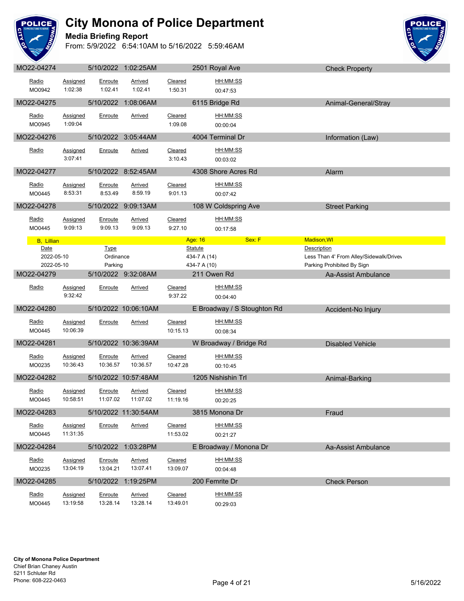

#### **Media Briefing Report**



| MO22-04274                       |                             |                                     | 5/10/2022 1:02:25AM        |                            | 2501 Royal Ave                                 | <b>Check Property</b>                                                                |
|----------------------------------|-----------------------------|-------------------------------------|----------------------------|----------------------------|------------------------------------------------|--------------------------------------------------------------------------------------|
| Radio<br>MO0942                  | <b>Assigned</b><br>1:02:38  | Enroute<br>1:02.41                  | <b>Arrived</b><br>1:02.41  | Cleared<br>1:50.31         | HH:MM:SS<br>00:47:53                           |                                                                                      |
| MO22-04275                       |                             |                                     | 5/10/2022 1:08:06AM        |                            | 6115 Bridge Rd                                 | Animal-General/Stray                                                                 |
| Radio<br>MO0945                  | <b>Assigned</b><br>1:09:04  | Enroute                             | <b>Arrived</b>             | Cleared<br>1:09.08         | HH:MM:SS<br>00:00:04                           |                                                                                      |
| MO22-04276                       |                             |                                     | 5/10/2022 3:05:44AM        |                            | 4004 Terminal Dr                               | Information (Law)                                                                    |
| Radio                            | Assigned<br>3:07:41         | Enroute                             | <u>Arrived</u>             | Cleared<br>3:10.43         | HH:MM:SS<br>00:03:02                           |                                                                                      |
| MO22-04277                       |                             |                                     | 5/10/2022 8:52:45AM        |                            | 4308 Shore Acres Rd                            | Alarm                                                                                |
| Radio<br>MO0445                  | <b>Assigned</b><br>8:53:31  | Enroute<br>8:53.49                  | Arrived<br>8:59.19         | Cleared<br>9:01.13         | HH:MM:SS<br>00:07:42                           |                                                                                      |
| MO22-04278                       |                             |                                     | 5/10/2022 9:09:13AM        |                            | 108 W Coldspring Ave                           | <b>Street Parking</b>                                                                |
| Radio<br>MO0445                  | <b>Assigned</b><br>9:09:13  | Enroute<br>9:09.13                  | Arrived<br>9:09.13         | Cleared<br>9:27.10         | HH:MM:SS<br>00:17:58                           |                                                                                      |
| <b>B</b> , Lillian               |                             |                                     |                            |                            | Sex: F<br>Age: 16                              | Madison, WI                                                                          |
| Date<br>2022-05-10<br>2022-05-10 |                             | <b>Type</b><br>Ordinance<br>Parking |                            |                            | <b>Statute</b><br>434-7 A (14)<br>434-7 A (10) | Description<br>Less Than 4' From Alley/Sidewalk/Drivev<br>Parking Prohibited By Sign |
| MO22-04279                       |                             |                                     | 5/10/2022 9:32:08AM        |                            | 211 Owen Rd                                    | Aa-Assist Ambulance                                                                  |
| Radio                            | <b>Assigned</b><br>9:32:42  | Enroute                             | Arrived                    | Cleared<br>9:37.22         | HH:MM:SS<br>00:04:40                           |                                                                                      |
|                                  |                             |                                     |                            |                            |                                                |                                                                                      |
| MO22-04280                       |                             |                                     | 5/10/2022 10:06:10AM       |                            | E Broadway / S Stoughton Rd                    | Accident-No Injury                                                                   |
| Radio<br>MO0445                  | Assigned<br>10:06:39        | Enroute                             | Arrived                    | Cleared<br>10:15.13        | HH:MM:SS<br>00:08:34                           |                                                                                      |
| MO22-04281                       |                             |                                     | 5/10/2022 10:36:39AM       |                            | W Broadway / Bridge Rd                         | <b>Disabled Vehicle</b>                                                              |
| Radio<br>MO0235                  | <b>Assigned</b><br>10:36:43 | Enroute<br>10:36.57                 | <b>Arrived</b><br>10:36.57 | Cleared<br>10:47.28        | HH:MM:SS<br>00:10:45                           |                                                                                      |
| MO22-04282                       |                             |                                     | 5/10/2022 10:57:48AM       |                            | 1205 Nishishin Trl                             | Animal-Barking                                                                       |
| Radio<br>MO0445                  | Assigned<br>10:58:51        | Enroute<br>11:07.02                 | <b>Arrived</b><br>11:07.02 | <b>Cleared</b><br>11:19.16 | HH:MM:SS<br>00:20:25                           |                                                                                      |
| MO22-04283                       |                             |                                     | 5/10/2022 11:30:54AM       |                            | 3815 Monona Dr                                 | Fraud                                                                                |
| Radio<br>MO0445                  | Assigned<br>11:31:35        | Enroute                             | <b>Arrived</b>             | Cleared<br>11:53.02        | HH:MM:SS<br>00:21:27                           |                                                                                      |
| MO22-04284                       |                             |                                     | 5/10/2022 1:03:28PM        |                            | E Broadway / Monona Dr                         | Aa-Assist Ambulance                                                                  |
| Radio<br>MO0235                  | <b>Assigned</b><br>13:04:19 | Enroute<br>13:04.21                 | <b>Arrived</b><br>13:07.41 | Cleared<br>13:09.07        | HH:MM:SS<br>00:04:48                           |                                                                                      |
| MO22-04285                       |                             |                                     | 5/10/2022 1:19:25PM        |                            | 200 Femrite Dr                                 | <b>Check Person</b>                                                                  |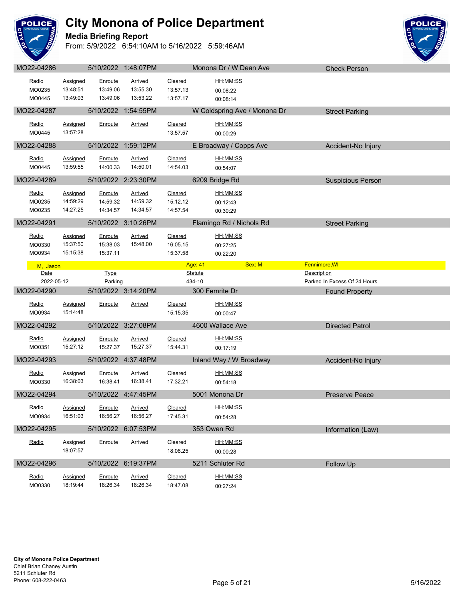

#### **Media Briefing Report**



| Radio<br>MO0235           | Assigned<br>13:48:51                    | Enroute<br>13:49.06             | Arrived<br>13:55.30             | Cleared<br>13:57.13             | HH:MM:SS<br>00:08:22                    |                                             |  |
|---------------------------|-----------------------------------------|---------------------------------|---------------------------------|---------------------------------|-----------------------------------------|---------------------------------------------|--|
| MO0445                    | 13:49:03                                | 13:49.06                        | 13:53.22                        | 13:57.17                        | 00:08:14                                |                                             |  |
| MO22-04287                |                                         |                                 | 5/10/2022 1:54:55PM             |                                 | W Coldspring Ave / Monona Dr            | <b>Street Parking</b>                       |  |
| Radio<br>MO0445           | <b>Assigned</b><br>13:57:28             | Enroute                         | Arrived                         | Cleared<br>13:57.57             | HH:MM:SS<br>00:00:29                    |                                             |  |
| MO22-04288                |                                         |                                 | 5/10/2022 1:59:12PM             |                                 | E Broadway / Copps Ave                  | Accident-No Injury                          |  |
| Radio<br>MO0445           | Assigned<br>13:59:55                    | Enroute<br>14:00.33             | Arrived<br>14:50.01             | Cleared<br>14:54.03             | HH:MM:SS<br>00:54:07                    |                                             |  |
| MO22-04289                |                                         |                                 | 5/10/2022 2:23:30PM             |                                 | 6209 Bridge Rd                          | <b>Suspicious Person</b>                    |  |
| Radio<br>MO0235<br>MO0235 | <b>Assigned</b><br>14:59:29<br>14:27:25 | Enroute<br>14:59.32<br>14:34.57 | Arrived<br>14:59.32<br>14:34.57 | Cleared<br>15:12.12<br>14:57.54 | HH:MM:SS<br>00:12:43<br>00:30:29        |                                             |  |
| MO22-04291                |                                         |                                 | 5/10/2022 3:10:26PM             |                                 | Flamingo Rd / Nichols Rd                | <b>Street Parking</b>                       |  |
| Radio<br>MO0330<br>MO0934 | <b>Assigned</b><br>15:37:50<br>15:15:38 | Enroute<br>15:38.03<br>15:37.11 | Arrived<br>15:48.00             | Cleared<br>16:05.15<br>15:37.58 | <u>HH:MM:SS</u><br>00:27:25<br>00:22:20 |                                             |  |
| M, Jason                  |                                         |                                 |                                 |                                 | Sex: M<br>Age: 41                       | Fennimore, WI                               |  |
| Date<br>2022-05-12        |                                         | <b>Type</b><br>Parking          |                                 |                                 | <b>Statute</b><br>434-10                | Description<br>Parked In Excess Of 24 Hours |  |
|                           |                                         |                                 |                                 |                                 |                                         |                                             |  |
| MO22-04290                |                                         |                                 | 5/10/2022 3:14:20PM             |                                 | 300 Femrite Dr                          | <b>Found Property</b>                       |  |
| Radio<br>MO0934           | <b>Assigned</b><br>15:14:48             | Enroute                         | Arrived                         | Cleared<br>15:15.35             | HH:MM:SS<br>00:00:47                    |                                             |  |
| MO22-04292                |                                         |                                 | 5/10/2022 3:27:08PM             |                                 | 4600 Wallace Ave                        | <b>Directed Patrol</b>                      |  |
| Radio<br>MO0351           | <b>Assigned</b><br>15:27:12             | Enroute<br>15:27.37             | <b>Arrived</b><br>15:27.37      | Cleared<br>15:44.31             | HH:MM:SS<br>00:17:19                    |                                             |  |
| MO22-04293                |                                         |                                 | 5/10/2022 4:37:48PM             |                                 | Inland Way / W Broadway                 | Accident-No Injury                          |  |
| Radio<br>MO0330           | Assigned<br>16:38:03                    | Enroute<br>16:38.41             | Arrived<br>16:38.41             | Cleared<br>17:32.21             | HH:MM:SS<br>00:54:18                    |                                             |  |
| MO22-04294                |                                         |                                 | 5/10/2022 4:47:45PM             |                                 | 5001 Monona Dr                          | <b>Preserve Peace</b>                       |  |
| Radio<br>MO0934           | <b>Assigned</b><br>16:51:03             | Enroute<br>16:56.27             | Arrived<br>16:56.27             | Cleared<br>17:45.31             | HH:MM:SS<br>00:54:28                    |                                             |  |
| MO22-04295                |                                         |                                 | 5/10/2022 6:07:53PM             |                                 | 353 Owen Rd                             | Information (Law)                           |  |
| Radio                     | <b>Assigned</b><br>18:07:57             | Enroute                         | <b>Arrived</b>                  | Cleared<br>18:08.25             | HH:MM:SS<br>00:00:28                    |                                             |  |
| MO22-04296                |                                         |                                 | 5/10/2022 6:19:37PM             |                                 | 5211 Schluter Rd                        | Follow Up                                   |  |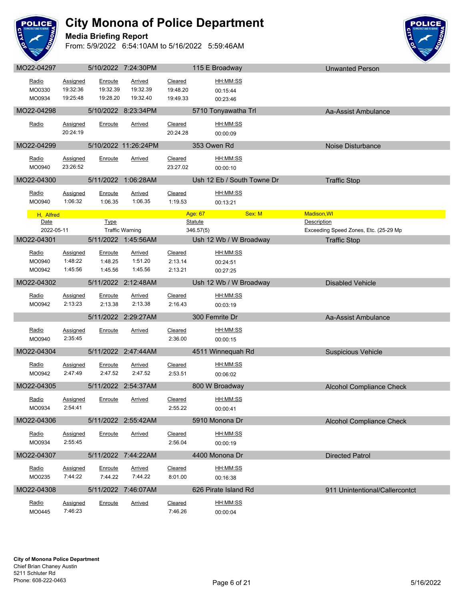

#### **Media Briefing Report**



| Radio           | Assigned            | Enroute        | <u>Arrived</u>         | Cleared            | HH:MM:SS                   |                                       |
|-----------------|---------------------|----------------|------------------------|--------------------|----------------------------|---------------------------------------|
| MO0330          | 19:32:36            | 19:32.39       | 19:32.39               | 19:48.20           | 00:15:44                   |                                       |
| MO0934          | 19:25:48            | 19:28.20       | 19:32.40               | 19:49.33           | 00:23:46                   |                                       |
| MO22-04298      |                     |                | 5/10/2022 8:23:34PM    |                    | 5710 Tonyawatha Trl        | Aa-Assist Ambulance                   |
| Radio           | Assigned            | Enroute        | Arrived                | Cleared            | HH:MM:SS                   |                                       |
|                 | 20:24:19            |                |                        | 20:24.28           | 00:00:09                   |                                       |
| MO22-04299      |                     |                | 5/10/2022 11:26:24PM   |                    | 353 Owen Rd                | Noise Disturbance                     |
| Radio           | Assigned            | Enroute        | Arrived                | Cleared            | HH:MM:SS                   |                                       |
| MO0940          | 23:26:52            |                |                        | 23:27.02           | 00:00:10                   |                                       |
| MO22-04300      |                     |                | 5/11/2022 1:06:28AM    |                    | Ush 12 Eb / South Towne Dr | <b>Traffic Stop</b>                   |
| Radio           | <b>Assigned</b>     | <b>Enroute</b> | <u>Arrived</u>         | Cleared            | HH:MM:SS                   |                                       |
| MO0940          | 1:06:32             | 1:06.35        | 1:06.35                | 1:19.53            | 00:13:21                   |                                       |
| H, Alfred       |                     |                |                        |                    | Sex: M<br>Age: 67          | Madison, WI                           |
| Date            |                     | Type           |                        |                    | <b>Statute</b>             | Description                           |
| 2022-05-11      |                     |                | <b>Traffic Warning</b> |                    | 346.57(5)                  | Exceeding Speed Zones, Etc. (25-29 Mp |
| MO22-04301      |                     |                | 5/11/2022 1:45:56AM    |                    | Ush 12 Wb / W Broadway     | <b>Traffic Stop</b>                   |
| Radio           | <b>Assigned</b>     | Enroute        | <b>Arrived</b>         | Cleared            | HH:MM:SS                   |                                       |
| MO0940          | 1:48:22             | 1:48.25        | 1:51.20                | 2:13.14            | 00:24:51                   |                                       |
| MO0942          | 1:45:56             | 1:45.56        | 1:45.56                | 2:13.21            | 00:27:25                   |                                       |
| MO22-04302      |                     |                | 5/11/2022 2:12:48AM    |                    | Ush 12 Wb / W Broadway     | <b>Disabled Vehicle</b>               |
| Radio           | Assigned            | Enroute        | <u>Arrived</u>         | Cleared            | HH:MM:SS                   |                                       |
| MO0942          | 2:13:23             | 2:13.38        | 2:13.38                | 2:16.43            | 00:03:19                   |                                       |
|                 |                     |                | 5/11/2022 2:29:27AM    |                    | 300 Femrite Dr             | Aa-Assist Ambulance                   |
| Radio           | Assigned            | Enroute        | <u>Arrived</u>         | <b>Cleared</b>     | HH:MM:SS                   |                                       |
| MO0940          | 2:35:45             |                |                        | 2:36.00            | 00:00:15                   |                                       |
| MO22-04304      |                     |                | 5/11/2022 2:47:44AM    |                    | 4511 Winnequah Rd          | <b>Suspicious Vehicle</b>             |
| Radio           | Assigned            | Enroute        | <b>Arrived</b>         | Cleared            | HH:MM:SS                   |                                       |
| MO0942          | 2:47:49             | 2:47.52        | 2:47.52                | 2:53.51            | 00:06:02                   |                                       |
| MO22-04305      |                     |                | 5/11/2022 2:54:37AM    |                    | 800 W Broadway             | <b>Alcohol Compliance Check</b>       |
| <u>Radio</u>    | Assigned            | Enroute        | Arrived                | Cleared            | HH:MM:SS                   |                                       |
| MO0934          | 2:54:41             |                |                        | 2:55.22            | 00:00:41                   |                                       |
| MO22-04306      |                     |                | 5/11/2022 2:55:42AM    |                    | 5910 Monona Dr             | Alcohol Compliance Check              |
|                 |                     |                |                        |                    |                            |                                       |
| Radio<br>MO0934 | Assigned<br>2:55:45 | Enroute        | Arrived                | Cleared<br>2:56.04 | HH:MM:SS<br>00:00:19       |                                       |
|                 |                     |                |                        |                    |                            |                                       |
| MO22-04307      |                     |                | 5/11/2022 7:44:22AM    |                    | 4400 Monona Dr             | <b>Directed Patrol</b>                |
| Radio           | <b>Assigned</b>     | Enroute        | <b>Arrived</b>         | Cleared            | HH:MM:SS                   |                                       |
| MO0235          | 7:44:22             | 7:44.22        | 7:44.22                | 8:01.00            | 00:16:38                   |                                       |
| MO22-04308      |                     |                | 5/11/2022 7:46:07AM    |                    | 626 Pirate Island Rd       | 911 Unintentional/Callercontct        |
| Radio           | Assigned            | Enroute        | <u>Arrived</u>         | <b>Cleared</b>     | HH:MM:SS                   |                                       |
| MO0445          | 7:46:23             |                |                        | 7:46.26            | 00:00:04                   |                                       |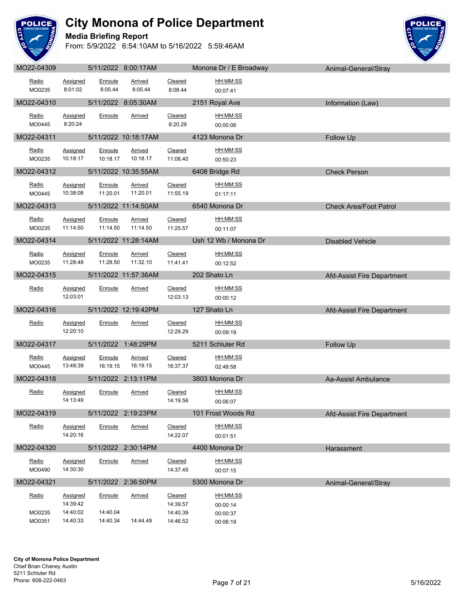

#### **Media Briefing Report**



| MO22-04309       |                             |                      | 5/11/2022 8:00:17AM        |                            | Monona Dr / E Broadway      | Animal-General/Stray          |
|------------------|-----------------------------|----------------------|----------------------------|----------------------------|-----------------------------|-------------------------------|
| Radio<br>MO0235  | Assigned<br>8:01:02         | Enroute<br>8:05.44   | Arrived<br>8:05.44         | Cleared<br>8:08.44         | HH:MM:SS<br>00:07:41        |                               |
| MO22-04310       |                             |                      | 5/11/2022 8:05:30AM        |                            | 2151 Royal Ave              | Information (Law)             |
| Radio<br>MO0445  | <b>Assigned</b><br>8:20:24  | Enroute              | <b>Arrived</b>             | Cleared<br>8:20.29         | HH:MM:SS<br>00:00:06        |                               |
| MO22-04311       |                             |                      | 5/11/2022 10:18:17AM       |                            | 4123 Monona Dr              | Follow Up                     |
| Radio<br>MO0235  | <b>Assigned</b><br>10:18:17 | Enroute<br>10:18.17  | <b>Arrived</b><br>10:18.17 | Cleared<br>11:08.40        | HH:MM:SS<br>00:50:23        |                               |
| MO22-04312       |                             |                      | 5/11/2022 10:35:55AM       |                            | 6408 Bridge Rd              | <b>Check Person</b>           |
| Radio<br>MO0445  | Assigned<br>10:38:08        | Enroute<br>11:20.01  | <b>Arrived</b><br>11:20.01 | Cleared<br>11:55.19        | HH:MM:SS<br>01:17:11        |                               |
| MO22-04313       |                             |                      | 5/11/2022 11:14:50AM       |                            | 6540 Monona Dr              | <b>Check Area/Foot Patrol</b> |
| Radio<br>MO0235  | Assigned<br>11:14:50        | Enroute<br>11:14.50  | <b>Arrived</b><br>11:14.50 | Cleared<br>11:25.57        | HH:MM:SS<br>00:11:07        |                               |
| MO22-04314       |                             |                      | 5/11/2022 11:28:14AM       |                            | Ush 12 Wb / Monona Dr       | <b>Disabled Vehicle</b>       |
| Radio<br>MO0235  | Assigned<br>11:28:48        | Enroute<br>11:28.50  | Arrived<br>11:32.10        | Cleared<br>11:41.41        | HH:MM:SS<br>00:12:52        |                               |
| MO22-04315       |                             |                      | 5/11/2022 11:57:36AM       |                            | 202 Shato Ln                | Afd-Assist Fire Department    |
| Radio            | Assigned<br>12:03:01        | Enroute              | Arrived                    | Cleared<br>12:03.13        | HH:MM:SS<br>00:00:12        |                               |
| MO22-04316       |                             |                      | 5/11/2022 12:19:42PM       |                            | 127 Shato Ln                | Afd-Assist Fire Department    |
| Radio            | <b>Assigned</b><br>12:20:10 | Enroute              | <b>Arrived</b>             | Cleared<br>12:29.29        | HH:MM:SS<br>00:09:19        |                               |
| MO22-04317       |                             |                      | 5/11/2022 1:48:29PM        |                            | 5211 Schluter Rd            | Follow Up                     |
| Radio<br>MO0445  | <b>Assigned</b><br>13:48:39 | Enroute<br>16:19.15  | <b>Arrived</b><br>16:19.15 | Cleared<br>16:37.37        | HH:MM:SS<br>02:48:58        |                               |
| MO22-04318       |                             |                      | 5/11/2022 2:13:11PM        |                            | 3803 Monona Dr              | Aa-Assist Ambulance           |
| Radio            | Assigned<br>14:13:49        | Enroute              | Arrived                    | Cleared<br>14:19.56        | HH:MM:SS<br>00:06:07        |                               |
| MO22-04319       |                             |                      | 5/11/2022 2:19:23PM        |                            | 101 Frost Woods Rd          | Afd-Assist Fire Department    |
| Radio            | <b>Assigned</b><br>14:20:16 | Enroute              | Arrived                    | Cleared<br>14:22.07        | HH:MM:SS<br>00:01:51        |                               |
| MO22-04320       |                             |                      | 5/11/2022 2:30:14PM        |                            | 4400 Monona Dr              | Harassment                    |
| Radio<br>MO0490  | Assigned<br>14:30:30        | Enroute              | <b>Arrived</b>             | Cleared<br>14:37.45        | HH:MM:SS<br>00:07:15        |                               |
| MO22-04321       |                             | 5/11/2022            | 2:36:50PM                  |                            | 5300 Monona Dr              | Animal-General/Stray          |
| Radio            | Assigned<br>14:39:42        | Enroute              | <b>Arrived</b>             | <b>Cleared</b><br>14:39.57 | <u>HH:MM:SS</u><br>00:00:14 |                               |
| MO0235<br>MO0351 | 14:40:02<br>14:40:33        | 14:40.04<br>14:40.34 | 14:44.49                   | 14:40.39<br>14:46.52       | 00:00:37<br>00:06:19        |                               |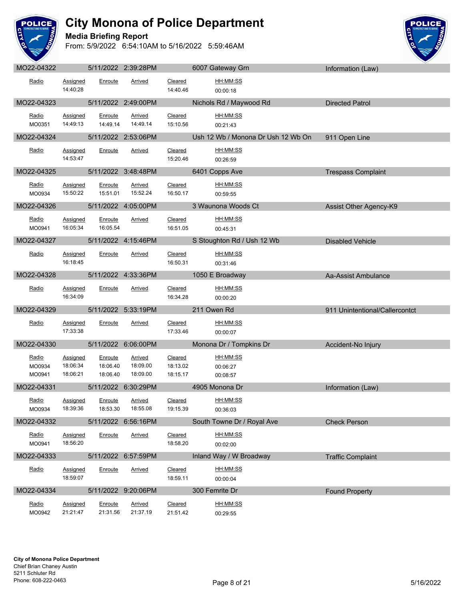

**Media Briefing Report**



| <b>IVIUZZ-U4JZZ</b>       |                                  |                                 | $3/11/ZUZZ$ $Z.39.ZOFWI$        |                                 | <b>OUU</b> Galeway Gill            | Information (Law)              |
|---------------------------|----------------------------------|---------------------------------|---------------------------------|---------------------------------|------------------------------------|--------------------------------|
| Radio                     | Assigned<br>14:40:28             | Enroute                         | Arrived                         | Cleared<br>14:40.46             | HH:MM:SS<br>00:00:18               |                                |
| MO22-04323                |                                  |                                 | 5/11/2022 2:49:00PM             |                                 | Nichols Rd / Maywood Rd            | <b>Directed Patrol</b>         |
| Radio<br>MO0351           | <b>Assigned</b><br>14:49:13      | Enroute<br>14:49.14             | <b>Arrived</b><br>14:49.14      | Cleared<br>15:10.56             | HH:MM:SS<br>00:21:43               |                                |
| MO22-04324                |                                  |                                 | 5/11/2022 2:53:06PM             |                                 | Ush 12 Wb / Monona Dr Ush 12 Wb On | 911 Open Line                  |
| Radio                     | Assigned<br>14:53:47             | Enroute                         | Arrived                         | Cleared<br>15:20.46             | HH:MM:SS<br>00:26:59               |                                |
| MO22-04325                |                                  |                                 | 5/11/2022 3:48:48PM             |                                 | 6401 Copps Ave                     | <b>Trespass Complaint</b>      |
| Radio<br>MO0934           | Assigned<br>15:50:22             | Enroute<br>15:51.01             | Arrived<br>15:52.24             | Cleared<br>16:50.17             | HH:MM:SS<br>00:59:55               |                                |
| MO22-04326                |                                  |                                 | 5/11/2022 4:05:00PM             |                                 | 3 Waunona Woods Ct                 | Assist Other Agency-K9         |
| Radio<br>MO0941           | Assigned<br>16:05:34             | Enroute<br>16:05.54             | <b>Arrived</b>                  | Cleared<br>16:51.05             | HH:MM:SS<br>00:45:31               |                                |
| MO22-04327                |                                  |                                 | 5/11/2022 4:15:46PM             | <u>a sa Bara</u>                | S Stoughton Rd / Ush 12 Wb         | <b>Disabled Vehicle</b>        |
| Radio                     | <b>Assigned</b><br>16:18:45      | Enroute                         | Arrived                         | Cleared<br>16:50.31             | HH:MM:SS<br>00:31:46               |                                |
| MO22-04328                |                                  |                                 | 5/11/2022 4:33:36PM             |                                 | 1050 E Broadway                    | Aa-Assist Ambulance            |
| Radio                     | <b>Assigned</b><br>16:34:09      | Enroute                         | Arrived                         | Cleared<br>16:34.28             | HH:MM:SS<br>00:00:20               |                                |
| MO22-04329                |                                  |                                 | 5/11/2022 5:33:19PM             |                                 | 211 Owen Rd                        | 911 Unintentional/Callercontct |
| Radio                     | <b>Assigned</b><br>17:33:38      | Enroute                         | Arrived                         | Cleared<br>17:33.46             | HH:MM:SS<br>00:00:07               |                                |
| MO22-04330                |                                  |                                 | 5/11/2022 6:06:00PM             |                                 | Monona Dr / Tompkins Dr            | Accident-No Injury             |
| Radio<br>MO0934<br>MO0941 | Assigned<br>18:06:34<br>18:06:21 | Enroute<br>18:06.40<br>18:06.40 | Arrived<br>18:09.00<br>18:09.00 | Cleared<br>18:13.02<br>18:15.17 | HH:MM:SS<br>00:06:27<br>00:08:57   |                                |
| MO22-04331                | <u>and the state</u>             |                                 | 5/11/2022 6:30:29PM             |                                 | 4905 Monona Dr                     | Information (Law)              |
| Radio<br>MO0934           | <b>Assigned</b><br>18:39:36      | Enroute<br>18:53.30             | Arrived<br>18:55.08             | <b>Cleared</b><br>19:15.39      | HH:MM:SS<br>00:36:03               |                                |
| MO22-04332                |                                  |                                 | 5/11/2022 6:56:16PM             |                                 | South Towne Dr / Royal Ave         | <b>Check Person</b>            |
| Radio<br>MO0941           | Assigned<br>18:56:20             | Enroute                         | Arrived                         | Cleared<br>18:58.20             | HH:MM:SS<br>00:02:00               |                                |
| MO22-04333                |                                  |                                 | 5/11/2022 6:57:59PM             |                                 | Inland Way / W Broadway            | <b>Traffic Complaint</b>       |
| Radio                     | Assigned<br>18:59:07             | Enroute                         | Arrived                         | Cleared<br>18:59.11             | HH:MM:SS<br>00:00:04               |                                |
| MO22-04334                |                                  |                                 | 5/11/2022 9:20:06PM             |                                 | 300 Femrite Dr                     | <b>Found Property</b>          |
| Radio<br>MO0942           | <b>Assigned</b><br>21:21:47      | Enroute<br>21:31.56             | <b>Arrived</b><br>21:37.19      | Cleared<br>21:51.42             | HH:MM:SS<br>00:29:55               |                                |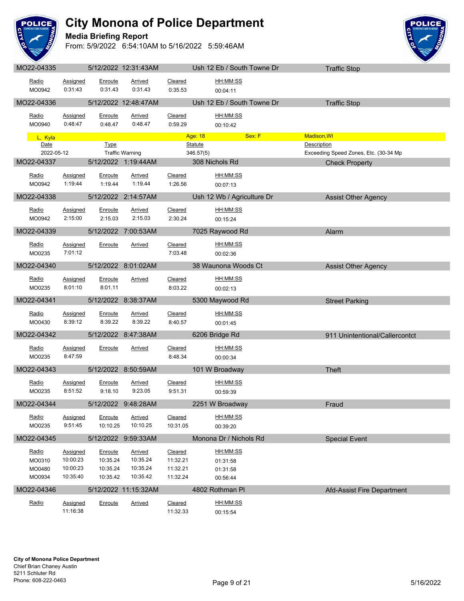

**Media Briefing Report**



| Radio<br>MO0942 | Assigned<br>0:31:43 | Enroute<br>0:31.43 | Arrived<br>0:31.43        | Cleared<br>0:35.53 | HH:MM:SS<br>00:04:11       |        |                                       |  |
|-----------------|---------------------|--------------------|---------------------------|--------------------|----------------------------|--------|---------------------------------------|--|
| MO22-04336      |                     |                    | 5/12/2022 12:48:47AM      |                    | Ush 12 Eb / South Towne Dr |        | <b>Traffic Stop</b>                   |  |
| Radio           | <b>Assigned</b>     | Enroute            | Arrived                   | Cleared            | HH:MM:SS                   |        |                                       |  |
| MO0940          | 0:48:47             | 0:48.47            | 0:48.47                   | 0:59.29            | 00:10:42                   |        |                                       |  |
| L, Kyla         |                     |                    |                           |                    | Age: 18                    | Sex: F | Madison, WI                           |  |
| Date            |                     | <b>Type</b>        |                           |                    | <b>Statute</b>             |        | Description                           |  |
| 2022-05-12      |                     |                    | <b>Traffic Warning</b>    |                    | 346.57(5)                  |        | Exceeding Speed Zones, Etc. (30-34 Mp |  |
| MO22-04337      |                     |                    | 5/12/2022 1:19:44AM       |                    | 308 Nichols Rd             |        | <b>Check Property</b>                 |  |
| Radio           | Assigned            | Enroute            | Arrived                   | Cleared            | HH:MM:SS                   |        |                                       |  |
| MO0942          | 1:19:44             | 1:19.44            | 1:19.44                   | 1:26.56            | 00:07:13                   |        |                                       |  |
| MO22-04338      |                     |                    | 5/12/2022 2:14:57AM       |                    | Ush 12 Wb / Agriculture Dr |        | <b>Assist Other Agency</b>            |  |
|                 |                     |                    |                           |                    | HH:MM:SS                   |        |                                       |  |
| Radio<br>MO0942 | Assigned<br>2:15:00 | Enroute<br>2:15.03 | <b>Arrived</b><br>2:15.03 | Cleared<br>2:30.24 | 00:15:24                   |        |                                       |  |
|                 |                     |                    |                           |                    |                            |        |                                       |  |
| MO22-04339      |                     |                    | 5/12/2022 7:00:53AM       |                    | 7025 Raywood Rd            |        | Alarm                                 |  |
| Radio           | Assigned            | Enroute            | <b>Arrived</b>            | Cleared            | HH:MM:SS                   |        |                                       |  |
| MO0235          | 7:01:12             |                    |                           | 7:03.48            | 00:02:36                   |        |                                       |  |
| MO22-04340      |                     |                    | 5/12/2022 8:01:02AM       |                    | 38 Waunona Woods Ct        |        | <b>Assist Other Agency</b>            |  |
| Radio           | Assigned            | Enroute            | Arrived                   | Cleared            | HH:MM:SS                   |        |                                       |  |
| MO0235          | 8:01:10             | 8:01.11            |                           | 8:03.22            | 00:02:13                   |        |                                       |  |
| MO22-04341      |                     |                    | 5/12/2022 8:38:37AM       |                    | 5300 Maywood Rd            |        | <b>Street Parking</b>                 |  |
|                 |                     |                    |                           |                    |                            |        |                                       |  |
| Radio           | <b>Assigned</b>     | Enroute            | <b>Arrived</b>            | Cleared            | HH:MM:SS                   |        |                                       |  |
| MO0430          | 8:39:12             | 8:39.22            | 8:39.22                   | 8:40.57            | 00:01:45                   |        |                                       |  |
| MO22-04342      |                     |                    | 5/12/2022 8:47:38AM       |                    | 6206 Bridge Rd             |        | 911 Unintentional/Callercontct        |  |
| Radio           | Assigned            | Enroute            | Arrived                   | Cleared            | HH:MM:SS                   |        |                                       |  |
| MO0235          | 8:47:59             |                    |                           | 8:48.34            | 00:00:34                   |        |                                       |  |
| MO22-04343      |                     |                    | 5/12/2022 8:50:59AM       |                    | 101 W Broadway             |        | Theft                                 |  |
| Radio           | Assigned            | Enroute            | <b>Arrived</b>            | Cleared            | HH:MM:SS                   |        |                                       |  |
| MO0235          | 8:51:52             | 9:18.10            | 9:23.05                   | 9:51.31            | 00:59:39                   |        |                                       |  |
| MO22-04344      |                     |                    | 5/12/2022 9:48:28AM       |                    | 2251 W Broadway            |        |                                       |  |
|                 |                     |                    |                           |                    |                            |        | Fraud                                 |  |
| Radio           | <b>Assigned</b>     | Enroute            | <b>Arrived</b>            | Cleared            | HH:MM:SS                   |        |                                       |  |
| MO0235          | 9:51:45             | 10:10.25           | 10:10.25                  | 10:31.05           | 00:39:20                   |        |                                       |  |
| MO22-04345      |                     |                    | 5/12/2022 9:59:33AM       |                    | Monona Dr / Nichols Rd     |        | <b>Special Event</b>                  |  |
| Radio           | Assigned            | Enroute            | <b>Arrived</b>            | Cleared            | <u>HH:MM:SS</u>            |        |                                       |  |
| MO0310          | 10:00:23            | 10:35.24           | 10:35.24                  | 11:32.21           | 01:31:58                   |        |                                       |  |
| MO0480          | 10:00:23            | 10:35.24           | 10:35.24                  | 11:32.21           | 01:31:58                   |        |                                       |  |
| MO0934          | 10:35:40            | 10:35.42           | 10:35.42                  | 11:32.24           | 00:56:44                   |        |                                       |  |
| MO22-04346      |                     |                    | 5/12/2022 11:15:32AM      |                    | 4802 Rothman PI            |        | Afd-Assist Fire Department            |  |
| Radio           | Assigned            | Enroute            | <b>Arrived</b>            | Cleared            | HH:MM:SS                   |        |                                       |  |
|                 | 11:16:38            |                    |                           | 11:32.33           | 00:15:54                   |        |                                       |  |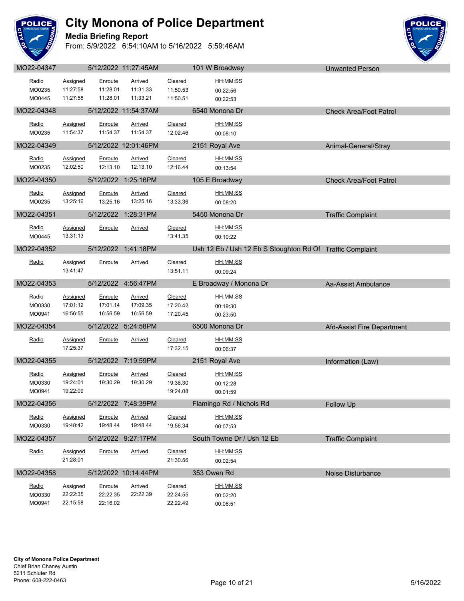

**Media Briefing Report**



| MO22-04347 |                 |          | 5/12/2022 11:27:45AM |          | 101 W Broadway                                            | <b>Unwanted Person</b>        |
|------------|-----------------|----------|----------------------|----------|-----------------------------------------------------------|-------------------------------|
| Radio      | Assigned        | Enroute  | <b>Arrived</b>       | Cleared  | HH:MM:SS                                                  |                               |
| MO0235     | 11:27:58        | 11:28.01 | 11:31.33             | 11:50.53 | 00:22:56                                                  |                               |
| MO0445     | 11:27:58        | 11:28.01 | 11:33.21             | 11:50.51 | 00:22:53                                                  |                               |
|            |                 |          |                      |          |                                                           |                               |
| MO22-04348 |                 |          | 5/12/2022 11:54:37AM |          | 6540 Monona Dr                                            | <b>Check Area/Foot Patrol</b> |
| Radio      | Assigned        | Enroute  | Arrived              | Cleared  | HH:MM:SS                                                  |                               |
| MO0235     | 11:54:37        | 11:54.37 | 11:54.37             | 12:02.46 | 00:08:10                                                  |                               |
| MO22-04349 |                 |          | 5/12/2022 12:01:46PM |          | 2151 Royal Ave                                            | Animal-General/Stray          |
|            |                 |          |                      |          |                                                           |                               |
| Radio      | Assigned        | Enroute  | Arrived              | Cleared  | HH:MM:SS                                                  |                               |
| MO0235     | 12:02:50        | 12:13.10 | 12:13.10             | 12:16.44 | 00:13:54                                                  |                               |
| MO22-04350 |                 |          | 5/12/2022 1:25:16PM  |          | 105 E Broadway                                            | <b>Check Area/Foot Patrol</b> |
| Radio      | <b>Assigned</b> | Enroute  | Arrived              | Cleared  | HH:MM:SS                                                  |                               |
| MO0235     | 13:25:16        | 13:25.16 | 13:25.16             | 13:33.36 | 00:08:20                                                  |                               |
|            |                 |          |                      |          |                                                           |                               |
| MO22-04351 |                 |          | 5/12/2022 1:28:31PM  |          | 5450 Monona Dr                                            | <b>Traffic Complaint</b>      |
| Radio      | <b>Assigned</b> | Enroute  | <b>Arrived</b>       | Cleared  | HH:MM:SS                                                  |                               |
| MO0445     | 13:31:13        |          |                      | 13:41.35 | 00:10:22                                                  |                               |
|            |                 |          |                      |          |                                                           |                               |
| MO22-04352 |                 |          | 5/12/2022 1:41:18PM  |          | Ush 12 Eb / Ush 12 Eb S Stoughton Rd Of Traffic Complaint |                               |
| Radio      | Assigned        | Enroute  | Arrived              | Cleared  | HH:MM:SS                                                  |                               |
|            | 13:41:47        |          |                      | 13:51.11 | 00:09:24                                                  |                               |
| MO22-04353 |                 |          | 5/12/2022 4:56:47PM  |          | E Broadway / Monona Dr                                    | Aa-Assist Ambulance           |
|            |                 |          |                      |          |                                                           |                               |
| Radio      | <b>Assigned</b> | Enroute  | Arrived              | Cleared  | HH:MM:SS                                                  |                               |
| MO0330     | 17:01:12        | 17:01.14 | 17:09.35             | 17:20.42 | 00:19:30                                                  |                               |
| MO0941     | 16:56:55        | 16:56.59 | 16:56.59             | 17:20.45 | 00:23:50                                                  |                               |
| MO22-04354 |                 |          | 5/12/2022 5:24:58PM  |          | 6500 Monona Dr                                            | Afd-Assist Fire Department    |
| Radio      | Assigned        | Enroute  | Arrived              | Cleared  | HH:MM:SS                                                  |                               |
|            | 17:25:37        |          |                      |          |                                                           |                               |
|            |                 |          |                      | 17:32.15 |                                                           |                               |
|            |                 |          |                      |          | 00:06:37                                                  |                               |
| MO22-04355 |                 |          | 5/12/2022 7:19:59PM  |          | 2151 Royal Ave                                            | Information (Law)             |
| Radio      | <b>Assigned</b> | Enroute  | Arrived              | Cleared  | HH:MM:SS                                                  |                               |
| MO0330     | 19:24:01        | 19:30.29 | 19:30.29             | 19:36.30 | 00:12:28                                                  |                               |
| MO0941     | 19:22:09        |          |                      | 19:24.08 | 00:01:59                                                  |                               |
|            |                 |          |                      |          |                                                           |                               |
| MO22-04356 |                 |          | 5/12/2022 7:48:39PM  |          | Flamingo Rd / Nichols Rd                                  | Follow Up                     |
| Radio      | Assigned        | Enroute  | <b>Arrived</b>       | Cleared  | HH:MM:SS                                                  |                               |
| MO0330     | 19:48:42        | 19:48.44 | 19:48.44             | 19:56.34 | 00:07:53                                                  |                               |
| MO22-04357 |                 |          | 5/12/2022 9:27:17PM  |          | South Towne Dr / Ush 12 Eb                                | <b>Traffic Complaint</b>      |
|            |                 |          |                      |          |                                                           |                               |
| Radio      | <b>Assigned</b> | Enroute  | Arrived              | Cleared  | HH:MM:SS                                                  |                               |
|            | 21:28:01        |          |                      | 21:30.56 | 00:02:54                                                  |                               |
| MO22-04358 |                 |          | 5/12/2022 10:14:44PM |          | 353 Owen Rd                                               | Noise Disturbance             |
| Radio      | Assigned        | Enroute  | Arrived              | Cleared  | HH:MM:SS                                                  |                               |
| MO0330     | 22:22:35        | 22:22.35 | 22:22.39             | 22:24.55 | 00:02:20                                                  |                               |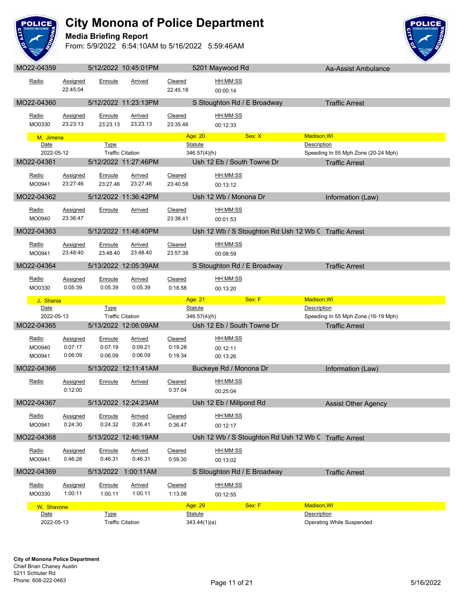

**Media Briefing Report**



| <b>IVIUZZ-U4JJJ</b> |                             |                            | <b>UILLIZUZZ TU.40.UTTIVI</b> |                           | <b>UZUT IVIAYWUUU NU</b>                                                      | Ad-Assist Affibulatice                             |
|---------------------|-----------------------------|----------------------------|-------------------------------|---------------------------|-------------------------------------------------------------------------------|----------------------------------------------------|
| Radio               | Assigned<br>22:45:04        | Enroute                    | Arrived                       | Cleared<br>22:45.18       | HH:MM:SS<br>00:00:14                                                          |                                                    |
| MO22-04360          |                             |                            | 5/12/2022 11:23:13PM          |                           | S Stoughton Rd / E Broadway                                                   | <b>Traffic Arrest</b>                              |
| Radio<br>MO0330     | <b>Assigned</b><br>23:23:13 | <b>Enroute</b><br>23:23.13 | <b>Arrived</b><br>23:23.13    | Cleared<br>23:35.46       | HH:MM:SS<br>00:12:33                                                          |                                                    |
| M, Jimena           |                             |                            |                               |                           | Sex: X<br>Age: 20                                                             | Madison, WI                                        |
| Date                |                             | <b>Type</b>                |                               |                           | Statute                                                                       | Description                                        |
| 2022-05-12          |                             |                            | <b>Traffic Citation</b>       |                           | 346.57(4)(h)                                                                  | Speeding In 55 Mph Zone (20-24 Mph)                |
| MO22-04361          |                             |                            | 5/12/2022 11:27:46PM          |                           | Ush 12 Eb / South Towne Dr                                                    | <b>Traffic Arrest</b>                              |
| Radio<br>MO0941     | Assigned<br>23:27:46        | Enroute<br>23:27.46        | Arrived<br>23:27.46           | Cleared<br>23:40.58       | HH:MM:SS<br>00:13:12                                                          |                                                    |
| MO22-04362          |                             |                            | 5/12/2022 11:36:42PM          |                           | Ush 12 Wb / Monona Dr                                                         | Information (Law)                                  |
| Radio<br>MO0940     | <b>Assigned</b><br>23:36:47 | Enroute                    | <b>Arrived</b>                | Cleared<br>23:38.41       | HH:MM:SS<br>00:01:53                                                          |                                                    |
| MO22-04363          |                             |                            | 5/12/2022 11:48:40PM          |                           | Ush 12 Wb / S Stoughton Rd Ush 12 Wb C Traffic Arrest                         |                                                    |
| Radio<br>MO0941     | Assigned<br>23:48:40        | Enroute<br>23:48.40        | Arrived<br>23:48.40           | Cleared<br>23:57.38       | HH:MM:SS<br>00:08:59                                                          |                                                    |
| MO22-04364          |                             |                            | 5/13/2022 12:05:39AM          |                           | S Stoughton Rd / E Broadway                                                   | <b>Traffic Arrest</b>                              |
| Radio<br>MO0330     | <b>Assigned</b><br>0:05:39  | Enroute<br>0:05.39         | <b>Arrived</b><br>0:05.39     | Cleared<br>0:18.58        | HH:MM:SS<br>00:13:20                                                          |                                                    |
|                     |                             |                            |                               |                           |                                                                               | Madison, WI                                        |
| J, Shania           |                             |                            |                               |                           | Sex: F<br>Age: 21                                                             |                                                    |
| Date<br>2022-05-13  |                             | <b>Type</b>                | <b>Traffic Citation</b>       |                           | <b>Statute</b><br>346.57(4)(h)                                                | Description<br>Speeding In 55 Mph Zone (16-19 Mph) |
| MO22-04365          |                             |                            | 5/13/2022 12:06:09AM          |                           | Ush 12 Eb / South Towne Dr                                                    | <b>Traffic Arrest</b>                              |
| Radio<br>MO0940     | <b>Assigned</b><br>0:07:17  | Enroute<br>0:07.19         | <b>Arrived</b><br>0:09.21     | Cleared<br>0:19.28        | HH:MM:SS<br>00:12:11                                                          |                                                    |
| MO0941              | 0:06:09                     | 0:06.09                    | 0:06.09                       | 0:19.34                   | 00:13:26                                                                      |                                                    |
| MO22-04366          |                             |                            | 5/13/2022 12:11:41AM          |                           | Buckeye Rd / Monona Dr                                                        | Information (Law)                                  |
| Radio               | Assigned<br>0:12:00         | Enroute                    | Arrived                       | Cleared<br>0:37.04        | HH:MM:SS<br>00:25:04                                                          |                                                    |
| MO22-04367          |                             |                            | 5/13/2022 12:24:23AM          |                           | Ush 12 Eb / Millpond Rd                                                       | <b>Assist Other Agency</b>                         |
| Radio<br>MO0941     | <b>Assigned</b><br>0:24:30  | Enroute<br>0:24.32         | <u>Arrived</u><br>0:26.41     | <b>Cleared</b><br>0:36.47 | HH:MM:SS<br>00:12:17                                                          |                                                    |
| MO22-04368          |                             |                            | 5/13/2022 12:46:19AM          |                           |                                                                               |                                                    |
| Radio<br>MO0941     | <b>Assigned</b><br>0:46:28  | Enroute<br>0:46.31         | <b>Arrived</b><br>0:46.31     | Cleared<br>0:59.30        | Ush 12 Wb / S Stoughton Rd Ush 12 Wb C Traffic Arrest<br>HH:MM:SS<br>00:13:02 |                                                    |
| MO22-04369          |                             | 5/13/2022                  | 1:00:11AM                     |                           | S Stoughton Rd / E Broadway                                                   | <b>Traffic Arrest</b>                              |
| Radio<br>MO0330     | Assigned<br>1:00:11         | Enroute<br>1:00.11         | Arrived<br>1:00.11            | Cleared<br>1:13.06        | HH:MM:SS<br>00:12:55                                                          |                                                    |
| W, Shavone          |                             |                            |                               |                           | Sex: F<br>Age: 29                                                             | <b>Madison, WI</b>                                 |
| Date<br>2022-05-13  |                             | <b>Type</b>                | <b>Traffic Citation</b>       |                           | Statute<br>343.44(1)(a)                                                       | Description<br><b>Operating While Suspended</b>    |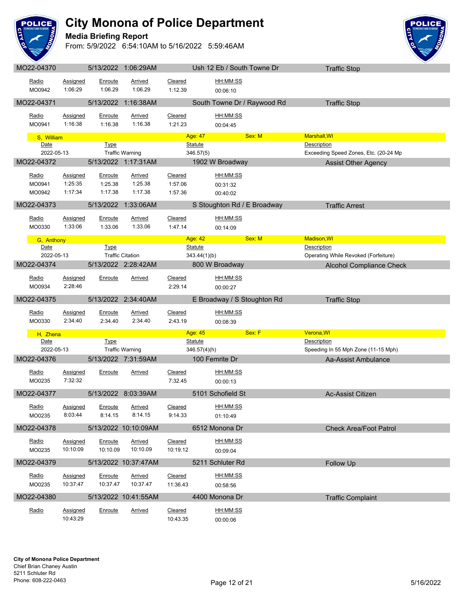

**Media Briefing Report**



| Radio           | Assigned             | Enroute             | <u>Arrived</u>             | Cleared             | HH:MM:SS                    |                                       |  |
|-----------------|----------------------|---------------------|----------------------------|---------------------|-----------------------------|---------------------------------------|--|
| MO0942          | 1:06:29              | 1:06.29             | 1:06.29                    | 1:12.39             | 00:06:10                    |                                       |  |
| MO22-04371      |                      |                     | 5/13/2022 1:16:38AM        |                     | South Towne Dr / Raywood Rd | <b>Traffic Stop</b>                   |  |
| Radio           | <b>Assigned</b>      | <u>Enroute</u>      | <b>Arrived</b>             | Cleared             | HH:MM:SS                    |                                       |  |
| MO0941          | 1:16:38              | 1:16.38             | 1:16.38                    | 1:21.23             | 00:04:45                    |                                       |  |
| S, William      |                      |                     |                            |                     | Sex: M<br>Age: 47           | <b>Marshall, WI</b>                   |  |
| Date            |                      | <b>Type</b>         |                            |                     | <b>Statute</b>              | Description                           |  |
| 2022-05-13      |                      |                     | <b>Traffic Warning</b>     |                     | 346.57(5)                   | Exceeding Speed Zones, Etc. (20-24 Mp |  |
| MO22-04372      |                      |                     | 5/13/2022 1:17:31AM        |                     | 1902 W Broadway             | <b>Assist Other Agency</b>            |  |
| Radio           | <b>Assigned</b>      | Enroute             | Arrived                    | Cleared             | HH:MM:SS                    |                                       |  |
| MO0941          | 1:25:35              | 1:25.38             | 1:25.38                    | 1:57.06             | 00:31:32                    |                                       |  |
| MO0942          | 1:17:34              | 1:17.38             | 1:17.38                    | 1:57.36             | 00:40:02                    |                                       |  |
| MO22-04373      |                      | 5/13/2022           | 1:33:06AM                  |                     | S Stoughton Rd / E Broadway | <b>Traffic Arrest</b>                 |  |
| Radio           | Assigned             | Enroute             | <b>Arrived</b>             | Cleared             | HH:MM:SS                    |                                       |  |
| MO0330          | 1:33:06              | 1:33.06             | 1:33.06                    | 1:47.14             | 00:14:09                    |                                       |  |
| G, Anthony      |                      |                     |                            |                     | Sex: M<br>Age: 42           | <b>Madison, WI</b>                    |  |
| Date            |                      | <b>Type</b>         |                            |                     | Statute                     | Description                           |  |
| 2022-05-13      |                      |                     | <b>Traffic Citation</b>    |                     | 343.44(1)(b)                | Operating While Revoked (Forfeiture)  |  |
| MO22-04374      |                      |                     | 5/13/2022 2:28:42AM        |                     | 800 W Broadway              | <b>Alcohol Compliance Check</b>       |  |
| Radio           | Assigned             | Enroute             | Arrived                    | Cleared             | HH:MM:SS                    |                                       |  |
| MO0934          | 2:28:46              |                     |                            | 2:29.14             | 00:00:27                    |                                       |  |
| MO22-04375      |                      |                     | 5/13/2022 2:34:40AM        |                     | E Broadway / S Stoughton Rd | <b>Traffic Stop</b>                   |  |
| Radio           | Assigned             | Enroute             | Arrived                    | Cleared             | HH:MM:SS                    |                                       |  |
| MO0330          | 2:34:40              | 2:34.40             | 2:34.40                    | 2:43.19             | 00:08:39                    |                                       |  |
| H, Zhena        |                      |                     |                            |                     | Age: 45<br>Sex: F           | Verona, WI                            |  |
| Date            |                      | <b>Type</b>         |                            |                     | <b>Statute</b>              | <b>Description</b>                    |  |
| 2022-05-13      |                      |                     | <b>Traffic Warning</b>     |                     | 346.57(4)(h)                | Speeding In 55 Mph Zone (11-15 Mph)   |  |
| MO22-04376      |                      |                     | 5/13/2022 7:31:59AM        |                     | 100 Femrite Dr              | Aa-Assist Ambulance                   |  |
| Radio           | <b>Assigned</b>      | Enroute             | Arrived                    | Cleared             | HH:MM:SS                    |                                       |  |
| MO0235          | 7:32:32              |                     |                            | 7:32.45             | 00:00:13                    |                                       |  |
| MO22-04377      |                      |                     | 5/13/2022 8:03:39AM        |                     | 5101 Schofield St           | Ac-Assist Citizen                     |  |
| Radio           | Assigned             | Enroute             | Arrived                    | Cleared             | HH:MM:SS                    |                                       |  |
| MO0235          | 8:03:44              | 8:14.15             | 8:14.15                    | 9:14.33             | 01:10:49                    |                                       |  |
| MO22-04378      |                      |                     | 5/13/2022 10:10:09AM       |                     | 6512 Monona Dr              | <b>Check Area/Foot Patrol</b>         |  |
|                 |                      |                     |                            |                     |                             |                                       |  |
| Radio<br>MO0235 | Assigned<br>10:10:09 | Enroute<br>10:10.09 | <b>Arrived</b><br>10:10.09 | Cleared<br>10:19.12 | HH:MM:SS                    |                                       |  |
|                 |                      |                     |                            |                     | 00:09:04                    |                                       |  |
| MO22-04379      |                      |                     | 5/13/2022 10:37:47AM       |                     | 5211 Schluter Rd            | Follow Up                             |  |
| Radio           | Assigned             | Enroute             | Arrived                    | Cleared             | HH:MM:SS                    |                                       |  |
| MO0235          | 10:37:47             | 10:37.47            | 10:37.47                   | 11:36.43            | 00:58:56                    |                                       |  |
|                 |                      |                     |                            |                     |                             |                                       |  |
| MO22-04380      |                      |                     | 5/13/2022 10:41:55AM       |                     | 4400 Monona Dr              | <b>Traffic Complaint</b>              |  |
| Radio           | Assigned             | Enroute             | <b>Arrived</b>             | Cleared             | HH:MM:SS                    |                                       |  |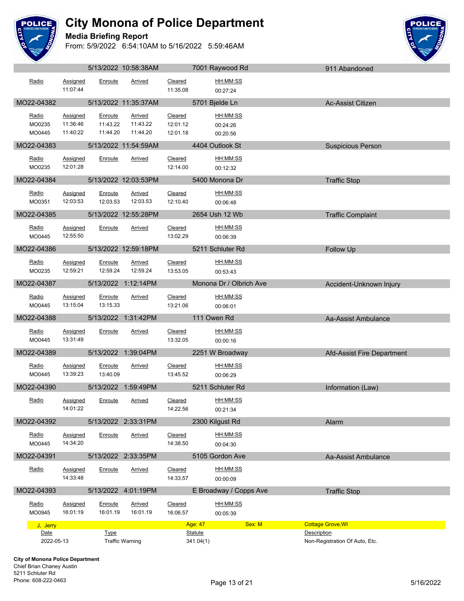

#### **Media Briefing Report**



|              |                 |             | 5/13/2022 10:58:38AM   |                        | 7001 Raywood Rd         | 911 Abandoned                  |
|--------------|-----------------|-------------|------------------------|------------------------|-------------------------|--------------------------------|
| Radio        | Assigned        | Enroute     | Arrived                | Cleared                | HH:MM:SS                |                                |
|              | 11:07:44        |             |                        | 11:35.08               | 00:27:24                |                                |
| MO22-04382   |                 |             | 5/13/2022 11:35:37AM   |                        | 5701 Bjelde Ln          | Ac-Assist Citizen              |
| Radio        | Assigned        | Enroute     | <b>Arrived</b>         | Cleared                | HH:MM:SS                |                                |
| MO0235       | 11:36:46        | 11:43.22    | 11:43.22               | 12:01.12               | 00:24:26                |                                |
| MO0445       | 11:40:22        | 11:44.20    | 11:44.20               | 12:01.18               | 00:20:56                |                                |
| MO22-04383   |                 |             | 5/13/2022 11:54:59AM   |                        | 4404 Outlook St         | <b>Suspicious Person</b>       |
| Radio        | Assigned        | Enroute     | Arrived                | Cleared                | <u>HH:MM:SS</u>         |                                |
| MO0235       | 12:01:28        |             |                        | 12:14.00               | 00:12:32                |                                |
| MO22-04384   |                 |             | 5/13/2022 12:03:53PM   | <u>and the company</u> | 5400 Monona Dr          | <b>Traffic Stop</b>            |
| Radio        | <b>Assigned</b> | Enroute     | Arrived                | Cleared                | HH:MM:SS                |                                |
| MO0351       | 12:03:53        | 12:03.53    | 12:03.53               | 12:10.40               | 00:06:48                |                                |
| MO22-04385   |                 |             | 5/13/2022 12:55:28PM   |                        | 2654 Ush 12 Wb          | <b>Traffic Complaint</b>       |
| Radio        | Assigned        | Enroute     | Arrived                | Cleared                | HH:MM:SS                |                                |
| MO0445       | 12:55:50        |             |                        | 13:02.29               | 00:06:39                |                                |
| MO22-04386   |                 |             | 5/13/2022 12:59:18PM   |                        | 5211 Schluter Rd        | Follow Up                      |
| Radio        | Assigned        | Enroute     | Arrived                | Cleared                | <u>HH:MM:SS</u>         |                                |
| MO0235       | 12:59:21        | 12:59.24    | 12:59.24               | 13:53.05               | 00:53:43                |                                |
| MO22-04387   |                 |             | 5/13/2022 1:12:14PM    |                        | Monona Dr / Olbrich Ave | Accident-Unknown Injury        |
| Radio        | <b>Assigned</b> | Enroute     | Arrived                | Cleared                | HH:MM:SS                |                                |
| MO0445       | 13:15:04        | 13:15.33    |                        | 13:21.06               | 00:06:01                |                                |
| MO22-04388   |                 |             | 5/13/2022 1:31:42PM    |                        | 111 Owen Rd             | Aa-Assist Ambulance            |
| Radio        | Assigned        | Enroute     | Arrived                | Cleared                | HH:MM:SS                |                                |
| MO0445       | 13:31:49        |             |                        | 13:32.05               | 00:00:16                |                                |
| MO22-04389   |                 |             | 5/13/2022 1:39:04PM    |                        | 2251 W Broadway         | Afd-Assist Fire Department     |
| Radio        | Assigned        | Enroute     | Arrived                | Cleared                | HH:MM:SS                |                                |
| MO0445       | 13:39:23        | 13:40.09    |                        | 13:45.52               | 00:06:29                |                                |
| MO22-04390   |                 |             | 5/13/2022 1:59:49PM    |                        | 5211 Schluter Rd        | Information (Law)              |
| Radio        | <b>Assigned</b> | Enroute     | <b>Arrived</b>         | Cleared                | HH:MM:SS                |                                |
|              | 14:01:22        |             |                        | 14:22.56               | 00:21:34                |                                |
| MO22-04392   |                 |             | 5/13/2022 2:33:31PM    |                        | 2300 Kilgust Rd         | Alarm                          |
| Radio        | Assigned        | Enroute     | Arrived                | Cleared                | HH:MM:SS                |                                |
| MO0445       | 14:34:20        |             |                        | 14:38.50               | 00:04:30                |                                |
| MO22-04391   |                 |             | 5/13/2022 2:33:35PM    |                        | 5105 Gordon Ave         | Aa-Assist Ambulance            |
| <b>Radio</b> | Assigned        | Enroute     | Arrived                | Cleared                | HH:MM:SS                |                                |
|              | 14:33:48        |             |                        | 14:33.57               | 00:00:09                |                                |
| MO22-04393   |                 |             | 5/13/2022 4:01:19PM    |                        | E Broadway / Copps Ave  | <b>Traffic Stop</b>            |
| Radio        | <b>Assigned</b> | Enroute     | Arrived                | Cleared                | HH:MM:SS                |                                |
| MO0945       | 16:01:19        | 16:01.19    | 16:01.19               | 16:06.57               | 00:05:39                |                                |
| J, Jerry     |                 |             |                        |                        | Age: 47<br>Sex: M       | <b>Cottage Grove, WI</b>       |
| Date         |                 | <b>Type</b> |                        |                        | <b>Statute</b>          | Description                    |
| 2022-05-13   |                 |             | <b>Traffic Warning</b> |                        | 341.04(1)               | Non-Registration Of Auto, Etc. |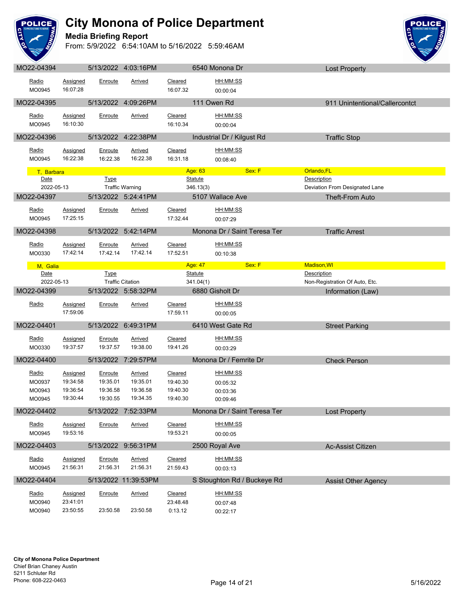

#### **Media Briefing Report**



|                                     |                                                     |                                             | 5/13/2022 4:03:16PM                                |                                             | 6540 Monona Dr                               | <b>Lost Property</b>                          |  |
|-------------------------------------|-----------------------------------------------------|---------------------------------------------|----------------------------------------------------|---------------------------------------------|----------------------------------------------|-----------------------------------------------|--|
| Radio<br>MO0945                     | Assigned<br>16:07:28                                | Enroute                                     | Arrived                                            | Cleared<br>16:07.32                         | HH:MM:SS<br>00:00:04                         |                                               |  |
| MO22-04395                          |                                                     |                                             | 5/13/2022 4:09:26PM                                |                                             | 111 Owen Rd                                  | 911 Unintentional/Callercontct                |  |
| Radio<br>MO0945                     | <b>Assigned</b><br>16:10:30                         | Enroute                                     | Arrived                                            | Cleared<br>16:10.34                         | HH:MM:SS<br>00:00:04                         |                                               |  |
| MO22-04396                          |                                                     |                                             | 5/13/2022 4:22:38PM                                |                                             | Industrial Dr / Kilgust Rd                   | <b>Traffic Stop</b>                           |  |
| Radio<br>MO0945                     | Assigned<br>16:22:38                                | Enroute<br>16:22.38                         | <b>Arrived</b><br>16:22.38                         | Cleared<br>16:31.18                         | HH:MM:SS<br>00:08:40                         |                                               |  |
| T. Barbara                          |                                                     |                                             |                                                    | Age: 63                                     | Sex: F                                       | Orlando, FL                                   |  |
| Date<br>2022-05-13                  |                                                     | <b>Type</b>                                 |                                                    | <b>Statute</b>                              |                                              | Description<br>Deviation From Designated Lane |  |
| MO22-04397                          |                                                     |                                             | <b>Traffic Warning</b><br>5/13/2022 5:24:41PM      | 346.13(3)                                   | 5107 Wallace Ave                             | Theft-From Auto                               |  |
|                                     |                                                     |                                             |                                                    |                                             |                                              |                                               |  |
| Radio<br>MO0945                     | Assigned<br>17:25:15                                | Enroute                                     | Arrived                                            | Cleared<br>17:32.44                         | HH:MM:SS<br>00:07:29                         |                                               |  |
| MO22-04398                          |                                                     |                                             | 5/13/2022 5:42:14PM                                |                                             | Monona Dr / Saint Teresa Ter                 | <b>Traffic Arrest</b>                         |  |
| Radio<br>MO0330                     | Assigned<br>17:42:14                                | Enroute<br>17:42.14                         | Arrived<br>17:42.14                                | Cleared<br>17:52.51                         | HH:MM:SS<br>00:10:38                         |                                               |  |
| M, Galia                            |                                                     |                                             |                                                    | Age: 47                                     | Sex: F                                       | Madison, WI                                   |  |
| Date                                |                                                     | <b>Type</b>                                 |                                                    | <b>Statute</b>                              |                                              | Description                                   |  |
| 2022-05-13                          |                                                     |                                             | <b>Traffic Citation</b>                            | 341.04(1)                                   |                                              | Non-Registration Of Auto, Etc.                |  |
| MO22-04399                          |                                                     |                                             | 5/13/2022 5:58:32PM                                |                                             | 6880 Gisholt Dr                              | Information (Law)                             |  |
| Radio                               | Assigned<br>17:59:06                                | Enroute                                     | Arrived                                            | Cleared<br>17:59.11                         | HH:MM:SS<br>00:00:05                         |                                               |  |
| MO22-04401                          |                                                     |                                             |                                                    |                                             |                                              |                                               |  |
|                                     |                                                     | 5/13/2022 6:49:31PM                         |                                                    |                                             | 6410 West Gate Rd                            | <b>Street Parking</b>                         |  |
| Radio<br>MO0330                     | Assigned<br>19:37:57                                | Enroute<br>19:37.57                         | Arrived<br>19:38.00                                | Cleared<br>19:41.26                         | HH:MM:SS<br>00:03:29                         |                                               |  |
| MO22-04400                          |                                                     |                                             | 5/13/2022 7:29:57PM                                |                                             | Monona Dr / Femrite Dr                       | <b>Check Person</b>                           |  |
| Radio<br>MO0937<br>MO0943<br>MO0945 | <b>Assigned</b><br>19:34:58<br>19:36:54<br>19:30:44 | Enroute<br>19:35.01<br>19:36.58<br>19:30.55 | <b>Arrived</b><br>19:35.01<br>19:36.58<br>19:34.35 | Cleared<br>19:40.30<br>19:40.30<br>19:40.30 | HH:MM:SS<br>00:05:32<br>00:03:36<br>00:09:46 |                                               |  |
| MO22-04402                          |                                                     |                                             | 5/13/2022 7:52:33PM                                |                                             | Monona Dr / Saint Teresa Ter                 |                                               |  |
| Radio<br>MO0945                     | <b>Assigned</b><br>19:53:16                         | Enroute                                     | <b>Arrived</b>                                     | Cleared<br>19:53.21                         | HH:MM:SS<br>00:00:05                         | <b>Lost Property</b>                          |  |
| MO22-04403                          |                                                     | 5/13/2022                                   | 9:56:31PM                                          |                                             | 2500 Royal Ave                               | Ac-Assist Citizen                             |  |
| Radio<br>MO0945                     | Assigned<br>21:56:31                                | Enroute<br>21:56.31                         | Arrived<br>21:56.31                                | Cleared<br>21:59.43                         | HH:MM:SS<br>00:03:13                         |                                               |  |
| MO22-04404                          |                                                     |                                             | 5/13/2022 11:39:53PM                               |                                             | S Stoughton Rd / Buckeye Rd                  | <b>Assist Other Agency</b>                    |  |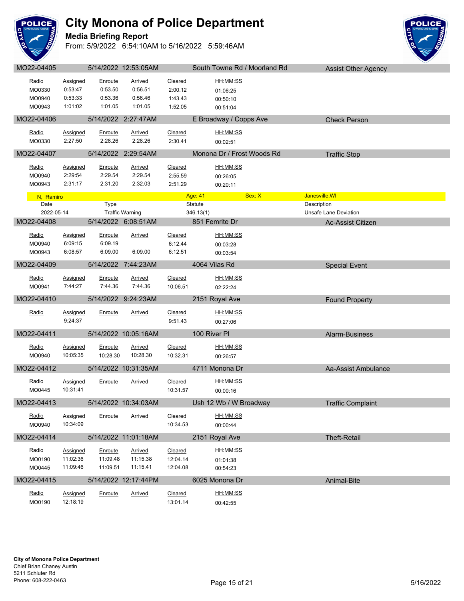

#### **Media Briefing Report**



| MO22-04405        |                            |                    | 5/14/2022 12:53:05AM      |                     | South Towne Rd / Moorland Rd | <b>Assist Other Agency</b> |
|-------------------|----------------------------|--------------------|---------------------------|---------------------|------------------------------|----------------------------|
| Radio             | <b>Assigned</b>            | Enroute            | <b>Arrived</b>            | Cleared             | <u>HH:MM:SS</u>              |                            |
| MO0330            | 0:53:47                    | 0:53.50            | 0:56.51                   | 2:00.12             | 01:06:25                     |                            |
| MO0940            | 0:53:33                    | 0:53.36            | 0:56.46                   | 1:43.43             | 00:50:10                     |                            |
| MO0943            | 1:01:02                    | 1:01.05            | 1:01.05                   | 1:52.05             | 00:51:04                     |                            |
| MO22-04406        |                            |                    | 5/14/2022 2:27:47AM       |                     | E Broadway / Copps Ave       | <b>Check Person</b>        |
| Radio             | Assigned                   | Enroute            | Arrived                   | Cleared             | <u>HH:MM:SS</u>              |                            |
| MO0330            | 2:27:50                    | 2:28.26            | 2:28.26                   | 2:30.41             | 00:02:51                     |                            |
| MO22-04407        |                            |                    | 5/14/2022 2:29:54AM       |                     | Monona Dr / Frost Woods Rd   | <b>Traffic Stop</b>        |
| Radio             | <b>Assigned</b>            | Enroute            | Arrived                   | Cleared             | HH:MM:SS                     |                            |
| MO0940            | 2:29:54                    | 2:29.54            | 2:29.54                   | 2:55.59             | 00:26:05                     |                            |
| MO0943            | 2:31:17                    | 2:31.20            | 2:32.03                   | 2:51.29             | 00:20:11                     |                            |
|                   |                            |                    |                           |                     | Sex: X<br>Age: 41            | Janesville, WI             |
| N, Ramiro<br>Date |                            | <b>Type</b>        |                           |                     | <b>Statute</b>               | Description                |
| 2022-05-14        |                            |                    | <b>Traffic Warning</b>    |                     | 346.13(1)                    | Unsafe Lane Deviation      |
| MO22-04408        |                            |                    | 5/14/2022 6:08:51AM       |                     | 851 Femrite Dr               | Ac-Assist Citizen          |
| <u>Radio</u>      | <b>Assigned</b>            | Enroute            | <b>Arrived</b>            | Cleared             | HH:MM:SS                     |                            |
| MO0940            | 6:09:15                    | 6:09.19            |                           | 6:12.44             | 00:03:28                     |                            |
| MO0943            | 6:08:57                    | 6:09.00            | 6:09.00                   | 6:12.51             | 00:03:54                     |                            |
| MO22-04409        |                            |                    | 5/14/2022 7:44:23AM       |                     | 4064 Vilas Rd                | <b>Special Event</b>       |
|                   |                            |                    |                           |                     |                              |                            |
| Radio<br>MO0941   | <b>Assigned</b><br>7:44:27 | Enroute<br>7:44.36 | <b>Arrived</b><br>7:44.36 | Cleared<br>10:06.51 | <u>HH:MM:SS</u>              |                            |
|                   |                            |                    |                           |                     | 02:22:24                     |                            |
| MO22-04410        |                            |                    | 5/14/2022 9:24:23AM       | <u> Samsan Sa</u>   | 2151 Royal Ave               | <b>Found Property</b>      |
| Radio             | <b>Assigned</b>            | Enroute            | Arrived                   | Cleared             | HH:MM:SS                     |                            |
|                   | 9:24:37                    |                    |                           | 9:51.43             | 00:27:06                     |                            |
| MO22-04411        |                            |                    | 5/14/2022 10:05:16AM      |                     | 100 River PI                 | Alarm-Business             |
| Radio             | Assigned                   | Enroute            | Arrived                   | Cleared             | HH:MM:SS                     |                            |
| MO0940            | 10:05:35                   | 10:28.30           | 10:28.30                  | 10:32.31            | 00:26:57                     |                            |
| MO22-04412        |                            |                    | 5/14/2022 10:31:35AM      |                     | 4711 Monona Dr               | Aa-Assist Ambulance        |
| Radio             | Assigned                   | Enroute            | <b>Arrived</b>            | Cleared             | <u>HH:MM:SS</u>              |                            |
| MO0445            | 10:31:41                   |                    |                           | 10:31.57            | 00:00:16                     |                            |
| MO22-04413        |                            |                    | 5/14/2022 10:34:03AM      |                     | Ush 12 Wb / W Broadway       | <b>Traffic Complaint</b>   |
|                   |                            |                    |                           |                     |                              |                            |
| Radio<br>MO0940   | Assigned<br>10:34:09       | Enroute            | <b>Arrived</b>            | Cleared<br>10:34.53 | HH:MM:SS<br>00:00:44         |                            |
|                   |                            |                    |                           |                     |                              |                            |
| MO22-04414        |                            |                    | 5/14/2022 11:01:18AM      |                     | 2151 Royal Ave               | <b>Theft-Retail</b>        |
| <u>Radio</u>      | <b>Assigned</b>            | Enroute            | <b>Arrived</b>            | Cleared             | HH:MM:SS                     |                            |
| MO0190            | 11:02:36                   | 11:09.48           | 11:15.38                  | 12:04.14            | 01:01:38                     |                            |
| MO0445            | 11:09:46                   | 11:09.51           | 11:15.41                  | 12:04.08            | 00:54:23                     |                            |
| MO22-04415        |                            |                    | 5/14/2022 12:17:44PM      |                     | 6025 Monona Dr               | Animal-Bite                |
| Radio             | <b>Assigned</b>            | Enroute            | <b>Arrived</b>            | Cleared             | HH:MM:SS                     |                            |
| MO0190            | 12:18:19                   |                    |                           | 13:01.14            | 00:42:55                     |                            |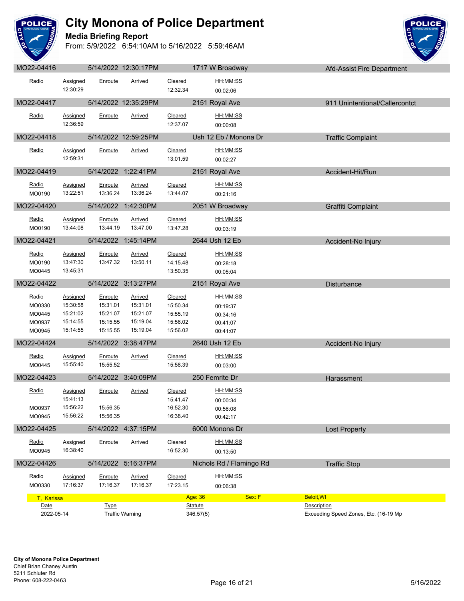

**Media Briefing Report**



|                                                      |                                                          |                                                         | $U = 1 + 12022$ $12.00$ . $111$ $N1$                           |                                                         | TI II VY DIVUUVVUY                                       | <b>UIR-UPSPELL IIE DEPAIRIEIII</b>    |
|------------------------------------------------------|----------------------------------------------------------|---------------------------------------------------------|----------------------------------------------------------------|---------------------------------------------------------|----------------------------------------------------------|---------------------------------------|
| Radio                                                | Assigned<br>12:30:29                                     | Enroute                                                 | Arrived                                                        | Cleared<br>12:32.34                                     | HH:MM:SS<br>00:02:06                                     |                                       |
| MO22-04417                                           |                                                          |                                                         | 5/14/2022 12:35:29PM                                           |                                                         | 2151 Royal Ave                                           | 911 Unintentional/Callercontct        |
| Radio                                                | <b>Assigned</b><br>12:36:59                              | Enroute                                                 | Arrived                                                        | Cleared<br>12:37.07                                     | HH:MM:SS<br>00:00:08                                     |                                       |
| MO22-04418                                           |                                                          |                                                         | 5/14/2022 12:59:25PM                                           |                                                         | Ush 12 Eb / Monona Dr                                    | <b>Traffic Complaint</b>              |
| Radio                                                | Assigned<br>12:59:31                                     | Enroute                                                 | Arrived                                                        | Cleared<br>13:01.59                                     | HH:MM:SS<br>00:02:27                                     |                                       |
| MO22-04419                                           |                                                          |                                                         | 5/14/2022 1:22:41PM                                            |                                                         | 2151 Royal Ave                                           | Accident-Hit/Run                      |
| Radio<br>MO0190                                      | Assigned<br>13:22:51                                     | Enroute<br>13:36.24                                     | Arrived<br>13:36.24                                            | Cleared<br>13:44.07                                     | <u>HH:MM:SS</u><br>00:21:16                              |                                       |
| MO22-04420                                           |                                                          |                                                         | 5/14/2022 1:42:30PM                                            |                                                         | 2051 W Broadway                                          | Graffiti Complaint                    |
| Radio<br>MO0190                                      | <b>Assigned</b><br>13:44:08                              | Enroute<br>13:44.19                                     | <b>Arrived</b><br>13:47.00                                     | Cleared<br>13:47.28                                     | HH:MM:SS<br>00:03:19                                     |                                       |
| MO22-04421                                           |                                                          |                                                         | 5/14/2022 1:45:14PM                                            |                                                         | 2644 Ush 12 Eb                                           | Accident-No Injury                    |
| <u>Radio</u><br>MO0190<br>MO0445                     | Assigned<br>13:47:30<br>13:45:31                         | Enroute<br>13:47.32                                     | Arrived<br>13:50.11                                            | Cleared<br>14:15.48<br>13:50.35                         | HH:MM:SS<br>00:28:18<br>00:05:04                         |                                       |
| MO22-04422                                           |                                                          |                                                         | 5/14/2022 3:13:27PM                                            |                                                         | 2151 Royal Ave                                           | <b>Disturbance</b>                    |
| <u>Radio</u><br>MO0330<br>MO0445<br>MO0937<br>MO0945 | Assigned<br>15:30:58<br>15:21:02<br>15:14:55<br>15:14:55 | Enroute<br>15:31.01<br>15:21.07<br>15:15.55<br>15:15.55 | <b>Arrived</b><br>15:31.01<br>15:21.07<br>15:19.04<br>15:19.04 | Cleared<br>15:50.34<br>15:55.19<br>15:56.02<br>15:56.02 | HH:MM:SS<br>00:19:37<br>00:34:16<br>00:41:07<br>00:41:07 |                                       |
| MO22-04424                                           |                                                          |                                                         | 5/14/2022 3:38:47PM                                            |                                                         | 2640 Ush 12 Eb                                           | Accident-No Injury                    |
| Radio<br>MO0445                                      | Assigned<br>15:55:40                                     | Enroute<br>15:55.52                                     | Arrived                                                        | Cleared<br>15:58.39                                     | <u>HH:MM:SS</u><br>00:03:00                              |                                       |
| MO22-04423                                           |                                                          |                                                         | 5/14/2022 3:40:09PM                                            |                                                         | 250 Femrite Dr                                           | Harassment                            |
| Radio<br>MO0937<br>MO0945                            | Assigned<br>15:41:13<br>15:56:22<br>15:56:22             | Enroute<br>15:56.35<br>15:56.35                         | Arrived                                                        | Cleared<br>15:41.47<br>16:52.30<br>16:38.40             | HH:MM:SS<br>00:00:34<br>00:56:08<br>00:42:17             |                                       |
| MO22-04425                                           |                                                          |                                                         | 5/14/2022 4:37:15PM                                            |                                                         | 6000 Monona Dr                                           | <b>Lost Property</b>                  |
| Radio<br>MO0945                                      | Assigned<br>16:38:40                                     | Enroute                                                 | Arrived                                                        | Cleared<br>16:52.30                                     | HH:MM:SS<br>00:13:50                                     |                                       |
| MO22-04426                                           |                                                          |                                                         | 5/14/2022 5:16:37PM                                            |                                                         | Nichols Rd / Flamingo Rd                                 | <b>Traffic Stop</b>                   |
| Radio<br>MO0330                                      | Assigned<br>17:16:37                                     | Enroute<br>17:16.37                                     | <b>Arrived</b><br>17:16.37                                     | Cleared<br>17:23.15                                     | HH:MM:SS<br>00:06:38                                     |                                       |
| T. Karissa<br>Date                                   |                                                          | <b>Type</b>                                             |                                                                |                                                         | Sex: F<br>Age: 36<br><b>Statute</b>                      | <b>Beloit, WI</b><br>Description      |
| 2022-05-14                                           |                                                          |                                                         | <b>Traffic Warning</b>                                         |                                                         | 346.57(5)                                                | Exceeding Speed Zones, Etc. (16-19 Mp |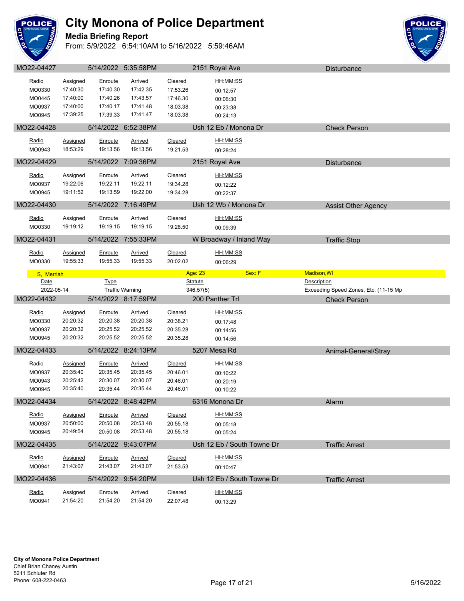

#### **Media Briefing Report**



| Radio              | <b>Assigned</b>      | Enroute              | <b>Arrived</b>             | Cleared              | <u>HH:MM:SS</u>            |                                       |  |
|--------------------|----------------------|----------------------|----------------------------|----------------------|----------------------------|---------------------------------------|--|
| MO0330<br>MO0445   | 17:40:30<br>17:40:00 | 17:40.30<br>17:40.26 | 17:42.35<br>17:43.57       | 17:53.26<br>17:46.30 | 00:12:57                   |                                       |  |
| MO0937             | 17:40:00             | 17:40.17             | 17:41.48                   | 18:03.38             | 00:06:30<br>00:23:38       |                                       |  |
| MO0945             | 17:39:25             | 17:39.33             | 17:41.47                   | 18:03.38             | 00:24:13                   |                                       |  |
| MO22-04428         |                      |                      | 5/14/2022 6:52:38PM        |                      | Ush 12 Eb / Monona Dr      | <b>Check Person</b>                   |  |
| Radio              | <b>Assigned</b>      | Enroute              | Arrived                    | Cleared              | HH:MM:SS                   |                                       |  |
| MO0943             | 18:53:29             | 19:13.56             | 19:13.56                   | 19:21.53             | 00:28:24                   |                                       |  |
| MO22-04429         |                      |                      | 5/14/2022 7:09:36PM        |                      | 2151 Royal Ave             | Disturbance                           |  |
|                    |                      |                      |                            |                      |                            |                                       |  |
| Radio              | Assigned             | Enroute              | <b>Arrived</b>             | Cleared              | HH:MM:SS                   |                                       |  |
| MO0937             | 19:22:06             | 19:22.11             | 19:22.11                   | 19:34.28             | 00:12:22                   |                                       |  |
| MO0945             | 19:11:52             | 19:13.59             | 19:22.00                   | 19:34.28             | 00:22:37                   |                                       |  |
| MO22-04430         |                      |                      | 5/14/2022 7:16:49PM        |                      | Ush 12 Wb / Monona Dr      | <b>Assist Other Agency</b>            |  |
| Radio              | <b>Assigned</b>      | Enroute              | Arrived                    | Cleared              | HH:MM:SS                   |                                       |  |
| MO0330             | 19:19:12             | 19:19.15             | 19:19.15                   | 19:28.50             | 00:09:39                   |                                       |  |
| MO22-04431         |                      |                      | 5/14/2022 7:55:33PM        |                      | W Broadway / Inland Way    | <b>Traffic Stop</b>                   |  |
| Radio              | <b>Assigned</b>      | Enroute              | <b>Arrived</b>             | Cleared              | HH:MM:SS                   |                                       |  |
| MO0330             | 19:55:33             | 19:55.33             | 19:55.33                   | 20:02.02             | 00:06:29                   |                                       |  |
|                    |                      |                      |                            |                      | Age: 23<br>Sex: F          | Madison, WI                           |  |
| S, Merriah<br>Date |                      | <b>Type</b>          |                            |                      | <b>Statute</b>             | Description                           |  |
| 2022-05-14         |                      |                      |                            |                      |                            | Exceeding Speed Zones, Etc. (11-15 Mp |  |
|                    |                      |                      | <b>Traffic Warning</b>     |                      | 346.57(5)                  |                                       |  |
| MO22-04432         |                      |                      | 5/14/2022 8:17:59PM        |                      | 200 Panther Trl            | <b>Check Person</b>                   |  |
|                    |                      |                      |                            |                      |                            |                                       |  |
| Radio              | <b>Assigned</b>      | Enroute              | <b>Arrived</b>             | Cleared              | HH:MM:SS                   |                                       |  |
| MO0330             | 20:20:32             | 20:20.38             | 20:20.38                   | 20:38.21             | 00:17:48                   |                                       |  |
| MO0937<br>MO0945   | 20:20:32<br>20:20:32 | 20:25.52<br>20:25.52 | 20:25.52<br>20:25.52       | 20:35.28<br>20:35.28 | 00:14:56<br>00:14:56       |                                       |  |
| MO22-04433         |                      |                      |                            |                      |                            |                                       |  |
|                    |                      |                      | 5/14/2022 8:24:13PM        |                      | 5207 Mesa Rd               | Animal-General/Stray                  |  |
| Radio              | <b>Assigned</b>      | Enroute              | <b>Arrived</b>             | Cleared              | HH:MM:SS                   |                                       |  |
| MO0937             | 20:35:40             | 20:35.45             | 20:35.45                   | 20:46.01             | 00:10:22                   |                                       |  |
| MO0943<br>MO0945   | 20:25:42<br>20:35:40 | 20:30.07<br>20:35.44 | 20:30.07<br>20:35.44       | 20:46.01<br>20:46.01 | 00:20:19<br>00:10:22       |                                       |  |
| MO22-04434         |                      |                      | 5/14/2022 8:48:42PM        |                      | 6316 Monona Dr             | Alarm                                 |  |
| Radio              |                      |                      |                            |                      | HH:MM:SS                   |                                       |  |
| MO0937             | Assigned<br>20:50:00 | Enroute<br>20:50.08  | <b>Arrived</b><br>20:53.48 | Cleared<br>20:55.18  |                            |                                       |  |
| MO0945             | 20:49:54             | 20:50.08             | 20:53.48                   | 20:55.18             | 00:05:18<br>00:05:24       |                                       |  |
| MO22-04435         |                      |                      | 5/14/2022 9:43:07PM        |                      | Ush 12 Eb / South Towne Dr | <b>Traffic Arrest</b>                 |  |
|                    |                      |                      |                            |                      |                            |                                       |  |
| Radio              | <b>Assigned</b>      | Enroute              | <b>Arrived</b>             | Cleared              | <u>HH:MM:SS</u>            |                                       |  |
| MO0941             | 21:43:07             | 21:43.07             | 21:43.07                   | 21:53.53             | 00:10:47                   |                                       |  |
| MO22-04436         |                      |                      | 5/14/2022 9:54:20PM        |                      | Ush 12 Eb / South Towne Dr | <b>Traffic Arrest</b>                 |  |
| Radio              | <b>Assigned</b>      | Enroute              | Arrived                    | Cleared              | HH:MM:SS                   |                                       |  |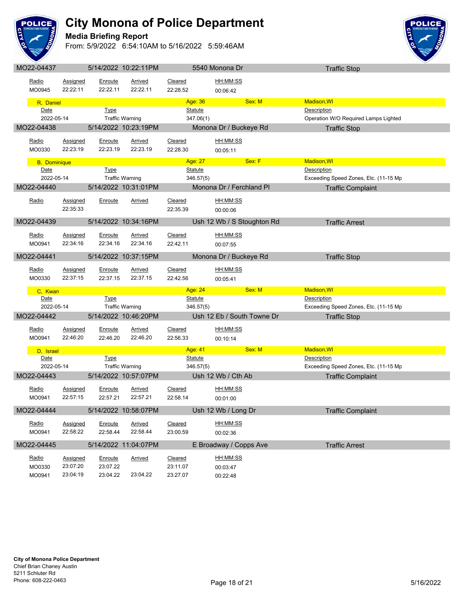

#### **Media Briefing Report**



|                      |                 |             | 19.22.111 IVI          |                |                            | <b>Hallic Oldp</b>                    |
|----------------------|-----------------|-------------|------------------------|----------------|----------------------------|---------------------------------------|
|                      |                 | Enroute     |                        |                | HH:MM:SS                   |                                       |
| Radio                | Assigned        |             | Arrived                | Cleared        |                            |                                       |
| MO0945               | 22:22:11        | 22:22.11    | 22:22.11               | 22:28.52       | 00:06:42                   |                                       |
| R, Daniel            |                 |             |                        | Age: 36        | Sex: M                     | <b>Madison, WI</b>                    |
| Date                 |                 | <b>Type</b> |                        | Statute        |                            | <b>Description</b>                    |
| 2022-05-14           |                 |             | <b>Traffic Warning</b> |                | 347.06(1)                  | Operation W/O Required Lamps Lighted  |
|                      |                 |             |                        |                |                            |                                       |
| MO22-04438           |                 |             | 5/14/2022 10:23:19PM   |                | Monona Dr / Buckeye Rd     | <b>Traffic Stop</b>                   |
| Radio                | <b>Assigned</b> | Enroute     | Arrived                | Cleared        | HH:MM:SS                   |                                       |
|                      |                 |             |                        |                |                            |                                       |
| MO0330               | 22:23:19        | 22:23.19    | 22:23.19               | 22:28.30       | 00:05:11                   |                                       |
| <b>B</b> , Dominique |                 |             |                        | Age: 27        | Sex: F                     | Madison, WI                           |
| Date                 |                 | Type        |                        | <b>Statute</b> |                            | Description                           |
| 2022-05-14           |                 |             | <b>Traffic Warning</b> |                | 346.57(5)                  | Exceeding Speed Zones, Etc. (11-15 Mp |
|                      |                 |             |                        |                |                            |                                       |
| MO22-04440           |                 |             | 5/14/2022 10:31:01PM   |                | Monona Dr / Ferchland Pl   | <b>Traffic Complaint</b>              |
| Radio                | <b>Assigned</b> | Enroute     | Arrived                | Cleared        | HH:MM:SS                   |                                       |
|                      | 22:35:33        |             |                        | 22:35.39       |                            |                                       |
|                      |                 |             |                        |                | 00:00:06                   |                                       |
| MO22-04439           |                 |             | 5/14/2022 10:34:16PM   |                | Ush 12 Wb / S Stoughton Rd | <b>Traffic Arrest</b>                 |
|                      |                 |             |                        |                |                            |                                       |
| Radio                | Assigned        | Enroute     | Arrived                | Cleared        | HH:MM:SS                   |                                       |
| MO0941               | 22:34:16        | 22:34.16    | 22:34.16               | 22:42.11       | 00:07:55                   |                                       |
|                      |                 |             |                        |                |                            |                                       |
| MO22-04441           |                 |             | 5/14/2022 10:37:15PM   |                | Monona Dr / Buckeye Rd     | <b>Traffic Stop</b>                   |
| Radio                | <b>Assigned</b> | Enroute     | <b>Arrived</b>         | Cleared        | HH:MM:SS                   |                                       |
|                      |                 |             |                        |                |                            |                                       |
| MO0330               | 22:37:15        | 22:37.15    | 22:37.15               | 22:42.56       | 00:05:41                   |                                       |
| C, Kwan              |                 |             |                        | Age: 24        | Sex: M                     | Madison, WI                           |
| Date                 |                 | <b>Type</b> |                        | <b>Statute</b> |                            | Description                           |
| 2022-05-14           |                 |             | <b>Traffic Warning</b> |                | 346.57(5)                  | Exceeding Speed Zones, Etc. (11-15 Mp |
|                      |                 |             |                        |                |                            |                                       |
| MO22-04442           |                 |             | 5/14/2022 10:46:20PM   |                | Ush 12 Eb / South Towne Dr | <b>Traffic Stop</b>                   |
| Radio                | Assigned        | Enroute     | Arrived                | Cleared        | HH:MM:SS                   |                                       |
| MO0941               | 22:46:20        | 22:46.20    | 22:46.20               | 22:56.33       |                            |                                       |
|                      |                 |             |                        |                | 00:10:14                   |                                       |
| D, Israel            |                 |             |                        | Age: 41        | Sex: M                     | <b>Madison, WI</b>                    |
| Date                 |                 | <b>Type</b> |                        | <b>Statute</b> |                            | Description                           |
| 2022-05-14           |                 |             | <b>Traffic Warning</b> |                | 346.57(5)                  | Exceeding Speed Zones, Etc. (11-15 Mp |
| MO22-04443           |                 |             | 5/14/2022 10:57:07PM   |                | Ush 12 Wb / Cth Ab         | <b>Traffic Complaint</b>              |
|                      |                 |             |                        |                |                            |                                       |
| Radio                | <b>Assigned</b> | Enroute     | <b>Arrived</b>         | Cleared        | HH:MM:SS                   |                                       |
| MO0941               | 22:57:15        | 22:57.21    | 22:57.21               | 22:58.14       | 00:01:00                   |                                       |
|                      |                 |             |                        |                |                            |                                       |
| MO22-04444           |                 |             | 5/14/2022 10:58:07PM   |                | Ush 12 Wb / Long Dr        | <b>Traffic Complaint</b>              |
|                      |                 |             |                        |                |                            |                                       |
| Radio                | Assigned        | Enroute     | <b>Arrived</b>         | Cleared        | HH:MM:SS                   |                                       |
| MO0941               | 22:58:22        | 22:58.44    | 22:58.44               | 23:00.59       | 00:02:36                   |                                       |
|                      |                 |             |                        |                |                            |                                       |
| MO22-04445           |                 |             | 5/14/2022 11:04:07PM   |                | E Broadway / Copps Ave     | <b>Traffic Arrest</b>                 |
| Radio                | <b>Assigned</b> | Enroute     | <b>Arrived</b>         | Cleared        | HH:MM:SS                   |                                       |
| MO0330               | 23:07:20        | 23:07.22    |                        | 23:11.07       |                            |                                       |
| MO0941               | 23:04:19        | 23:04.22    | 23:04.22               |                | 00:03:47                   |                                       |
|                      |                 |             |                        | 23:27.07       | 00:22:48                   |                                       |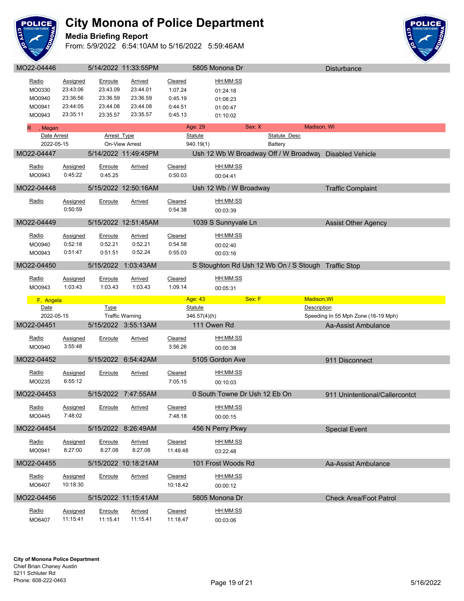

#### **Media Briefing Report**



| MO22-04446                  |                     |                     | 5/14/2022 11:33:55PM       |                    | 5805 Monona Dr                                         |                             | Disturbance                         |  |
|-----------------------------|---------------------|---------------------|----------------------------|--------------------|--------------------------------------------------------|-----------------------------|-------------------------------------|--|
| Radio                       | <b>Assigned</b>     | Enroute             | <b>Arrived</b>             | Cleared            | <u>HH:MM:SS</u>                                        |                             |                                     |  |
| MO0330                      | 23:43:06            | 23:43.09            | 23:44.01                   | 1:07.24            | 01:24:18                                               |                             |                                     |  |
| MO0940                      | 23:36:56            | 23:36.59            | 23:36.59                   | 0:45.19            | 01:08:23                                               |                             |                                     |  |
| MO0941                      | 23:44:05            | 23:44.08            | 23:44.08                   | 0:44.51            | 01:00:47                                               |                             |                                     |  |
| MO0943                      | 23:35:11            | 23:35.57            | 23:35.57                   | 0:45.13            | 01:10:02                                               |                             |                                     |  |
|                             |                     |                     |                            |                    | Sex: X                                                 |                             |                                     |  |
| , Megan<br>R<br>Date Arrest |                     | <b>Arrest Type</b>  |                            |                    | Age: 29<br><b>Statute</b>                              | Madison, WI<br>Statute Desc |                                     |  |
| 2022-05-15                  |                     |                     | On-View Arrest             |                    | 940.19(1)                                              | Battery                     |                                     |  |
| MO22-04447                  |                     |                     | 5/14/2022 11:49:45PM       |                    | Ush 12 Wb W Broadway Off / W Broadway Disabled Vehicle |                             |                                     |  |
|                             |                     |                     |                            |                    |                                                        |                             |                                     |  |
| Radio                       | <b>Assigned</b>     | Enroute             | <b>Arrived</b>             | Cleared            | HH:MM:SS                                               |                             |                                     |  |
| MO0943                      | 0:45:22             | 0:45.25             |                            | 0:50.03            | 00:04:41                                               |                             |                                     |  |
| MO22-04448                  |                     |                     | 5/15/2022 12:50:16AM       |                    | Ush 12 Wb / W Broadway                                 |                             | <b>Traffic Complaint</b>            |  |
|                             |                     |                     |                            |                    |                                                        |                             |                                     |  |
| Radio                       | Assigned<br>0:50:59 | Enroute             | Arrived                    | Cleared<br>0:54.38 | HH:MM:SS                                               |                             |                                     |  |
|                             |                     |                     |                            |                    | 00:03:39                                               |                             |                                     |  |
| MO22-04449                  |                     |                     | 5/15/2022 12:51:45AM       |                    | 1039 S Sunnyvale Ln                                    |                             | <b>Assist Other Agency</b>          |  |
| <b>Radio</b>                | <b>Assigned</b>     | Enroute             | <b>Arrived</b>             | <b>Cleared</b>     | <u>HH:MM:SS</u>                                        |                             |                                     |  |
| MO0940                      | 0:52:18             | 0:52.21             | 0:52.21                    | 0:54.58            | 00:02:40                                               |                             |                                     |  |
| MO0943                      | 0:51:47             | 0:51.51             | 0:52.24                    | 0:55.03            | 00:03:16                                               |                             |                                     |  |
| MO22-04450                  |                     |                     | 5/15/2022 1:03:43AM        |                    |                                                        |                             |                                     |  |
|                             |                     |                     |                            |                    | S Stoughton Rd Ush 12 Wb On / S Stough Traffic Stop    |                             |                                     |  |
| Radio                       | Assigned            | Enroute             | <b>Arrived</b>             | Cleared            | HH:MM:SS                                               |                             |                                     |  |
| MO0943                      | 1:03:43             | 1:03.43             | 1:03.43                    | 1:09.14            | 00:05:31                                               |                             |                                     |  |
|                             |                     |                     |                            |                    |                                                        |                             |                                     |  |
| F, Angela                   |                     |                     |                            |                    | Age: 43<br>Sex: F                                      | <b>Madison, WI</b>          |                                     |  |
| Date                        |                     | <b>Type</b>         |                            |                    | <b>Statute</b>                                         | Description                 |                                     |  |
| 2022-05-15                  |                     |                     | <b>Traffic Warning</b>     |                    | 346.57(4)(h)                                           |                             | Speeding In 55 Mph Zone (16-19 Mph) |  |
| MO22-04451                  |                     |                     | 5/15/2022 3:55:13AM        |                    | 111 Owen Rd                                            |                             | Aa-Assist Ambulance                 |  |
| Radio                       |                     |                     |                            |                    |                                                        |                             |                                     |  |
| MO0940                      | Assigned<br>3:55:48 | <b>Enroute</b>      | <u>Arrived</u>             | Cleared<br>3:56.26 | HH:MM:SS                                               |                             |                                     |  |
|                             |                     |                     |                            |                    | 00:00:38                                               |                             |                                     |  |
| MO22-04452                  |                     |                     | 5/15/2022 6:54:42AM        |                    | 5105 Gordon Ave                                        |                             | 911 Disconnect                      |  |
| Radio                       | <b>Assigned</b>     | Enroute             | <u>Arrived</u>             | Cleared            | HH:MM:SS                                               |                             |                                     |  |
| MO0235                      | 6:55:12             |                     |                            | 7:05.15            | 00:10:03                                               |                             |                                     |  |
|                             |                     |                     | 5/15/2022 7:47:55AM        |                    |                                                        |                             |                                     |  |
| MO22-04453                  |                     |                     |                            |                    | 0 South Towne Dr Ush 12 Eb On                          |                             | 911 Unintentional/Callercontct      |  |
| Radio                       | Assigned            | <b>Enroute</b>      | <b>Arrived</b>             | <b>Cleared</b>     | HH:MM:SS                                               |                             |                                     |  |
| MO0445                      | 7:48:02             |                     |                            | 7:48.18            | 00:00:15                                               |                             |                                     |  |
| MO22-04454                  |                     |                     | 5/15/2022 8:26:49AM        |                    | 456 N Perry Pkwy                                       |                             | <b>Special Event</b>                |  |
|                             |                     |                     |                            |                    |                                                        |                             |                                     |  |
| Radio                       | <b>Assigned</b>     | <b>Enroute</b>      | <b>Arrived</b>             | Cleared            | HH:MM:SS                                               |                             |                                     |  |
| MO0941                      | 8:27:00             | 8:27.08             | 8:27.08                    | 11:49.48           | 03:22:48                                               |                             |                                     |  |
| MO22-04455                  |                     |                     | 5/15/2022 10:18:21AM       |                    | 101 Frost Woods Rd                                     |                             | Aa-Assist Ambulance                 |  |
| Radio                       | <b>Assigned</b>     | Enroute             | <b>Arrived</b>             | Cleared            | HH:MM:SS                                               |                             |                                     |  |
| MO6407                      | 10:18:30            |                     |                            | 10:18.42           | 00:00:12                                               |                             |                                     |  |
|                             |                     |                     |                            |                    |                                                        |                             |                                     |  |
| MO22-04456                  |                     |                     | 5/15/2022 11:15:41AM       |                    | 5805 Monona Dr                                         |                             | <b>Check Area/Foot Patrol</b>       |  |
| Radio                       | Assigned            | Enroute<br>11:15.41 | <b>Arrived</b><br>11:15.41 | Cleared            | <u>HH:MM:SS</u>                                        |                             |                                     |  |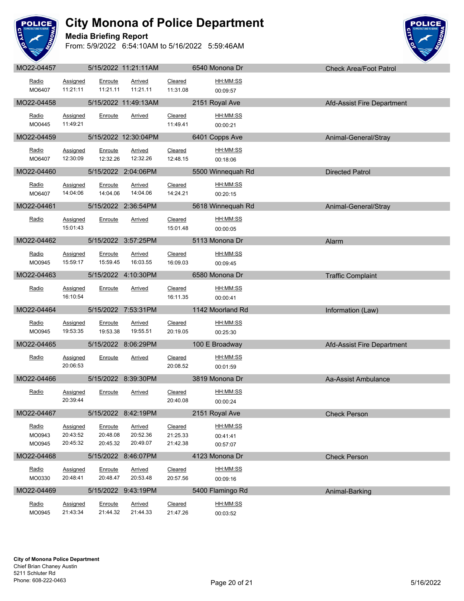

**Media Briefing Report**



|                           |                                  |                                 |                                      |                                 |                                  | VIICUM AICAIL VULT AILUI   |
|---------------------------|----------------------------------|---------------------------------|--------------------------------------|---------------------------------|----------------------------------|----------------------------|
| Radio<br>MO6407           | Assigned<br>11:21:11             | Enroute<br>11:21.11             | Arrived<br>11:21.11                  | Cleared<br>11:31.08             | HH:MM:SS<br>00:09:57             |                            |
| MO22-04458                |                                  |                                 | 5/15/2022 11:49:13AM                 |                                 | 2151 Royal Ave                   | Afd-Assist Fire Department |
| Radio<br>MO0445           | <b>Assigned</b><br>11:49:21      | Enroute                         | Arrived                              | Cleared<br>11:49.41             | HH:MM:SS<br>00:00:21             |                            |
| MO22-04459                |                                  |                                 | 5/15/2022 12:30:04PM                 |                                 | 6401 Copps Ave                   | Animal-General/Stray       |
| <u>Radio</u><br>MO6407    | Assigned<br>12:30:09             | Enroute                         | <b>Arrived</b><br>12:32.26  12:32.26 | Cleared<br>12:48.15             | HH:MM:SS<br>00:18:06             |                            |
| MO22-04460                |                                  |                                 | 5/15/2022 2:04:06PM                  |                                 | 5500 Winnequah Rd                | Directed Patrol            |
| Radio<br>MO6407           | Assigned<br>14:04:06             | Enroute<br>14:04.06             | Arrived<br>14:04.06                  | Cleared<br>14:24.21             | HH:MM:SS<br>00:20:15             |                            |
| MO22-04461                |                                  |                                 | 5/15/2022 2:36:54PM                  | <u>a sa san</u> aran            | 5618 Winnequah Rd                | Animal-General/Stray       |
| Radio                     | <b>Assigned</b><br>15:01:43      | Enroute                         | Arrived                              | Cleared<br>15:01.48             | HH:MM:SS<br>00:00:05             |                            |
| MO22-04462                |                                  |                                 | 5/15/2022 3:57:25PM                  |                                 | 5113 Monona Dr                   | Alarm                      |
| Radio<br>MO0945           | Assigned<br>15:59:17             | Enroute<br>15:59.45             | Arrived<br>16:03.55                  | Cleared<br>16:09.03             | HH:MM:SS<br>00:09:45             |                            |
| MO22-04463                |                                  |                                 | 5/15/2022 4:10:30PM                  |                                 | 6580 Monona Dr                   | <b>Traffic Complaint</b>   |
| Radio                     | Assigned<br>16:10:54             | Enroute                         | Arrived                              | Cleared<br>16:11.35             | HH:MM:SS<br>00:00:41             |                            |
| MO22-04464                |                                  |                                 | 5/15/2022 7:53:31PM                  |                                 | 1142 Moorland Rd                 | Information (Law)          |
| Radio<br>MO0945           | Assigned<br>19:53:35             | Enroute                         | Arrived<br>19:53.38  19:55.51        | Cleared<br>20:19.05             | HH:MM:SS<br>00:25:30             |                            |
| MO22-04465                |                                  |                                 | 5/15/2022 8:06:29PM                  |                                 | 100 E Broadway                   | Afd-Assist Fire Department |
| Radio                     | Assigned<br>20:06:53             | Enroute                         | Arrived                              | Cleared<br>20:08.52             | HH:MM:SS<br>00:01:59             |                            |
| MO22-04466                |                                  |                                 | 5/15/2022 8:39:30PM                  |                                 | <b>Example 3819 Monona Dr</b>    | Aa-Assist Ambulance        |
| Radio                     | <b>Assigned</b><br>20:39:44      | Enroute                         | Arrived                              | Cleared<br>20:40.08             | HH:MM:SS<br>00:00:24             |                            |
| MO22-04467                |                                  |                                 | 5/15/2022 8:42:19PM                  |                                 | 2151 Royal Ave                   | <b>Check Person</b>        |
| Radio<br>MO0943<br>MO0945 | Assigned<br>20:43:52<br>20:45:32 | Enroute<br>20:48.08<br>20:45.32 | Arrived<br>20:52.36<br>20:49.07      | Cleared<br>21:25.33<br>21:42.38 | HH:MM:SS<br>00:41:41<br>00:57:07 |                            |
| MO22-04468                |                                  |                                 | 5/15/2022 8:46:07PM                  |                                 | 4123 Monona Dr                   | <b>Check Person</b>        |
| Radio<br>MO0330           | Assigned<br>20:48:41             | Enroute<br>20:48.47             | Arrived<br>20:53.48                  | Cleared<br>20:57.56             | HH:MM:SS<br>00:09:16             |                            |
| MO22-04469                |                                  |                                 | 5/15/2022 9:43:19PM                  |                                 | 5400 Flamingo Rd                 | Animal-Barking             |
| Radio<br>MO0945           | <b>Assigned</b><br>21:43:34      | Enroute<br>21:44.32             | <b>Arrived</b><br>21:44.33           | Cleared<br>21:47.26             | HH:MM:SS<br>00:03:52             |                            |